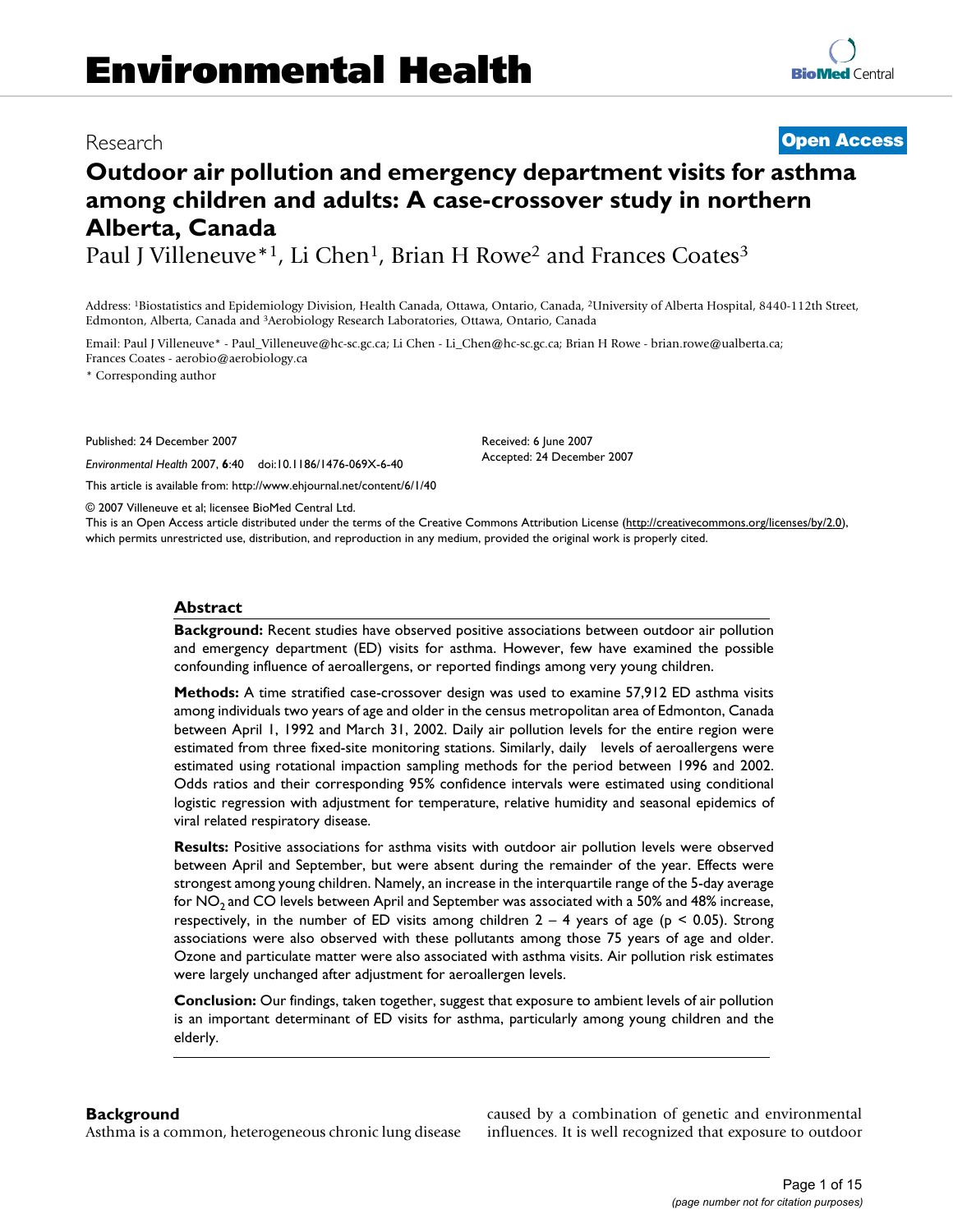# Research **[Open Access](http://www.biomedcentral.com/info/about/charter/)**

# **Outdoor air pollution and emergency department visits for asthma among children and adults: A case-crossover study in northern Alberta, Canada**

Paul J Villeneuve<sup>\*1</sup>, Li Chen<sup>1</sup>, Brian H Rowe<sup>2</sup> and Frances Coates<sup>3</sup>

Address: 1Biostatistics and Epidemiology Division, Health Canada, Ottawa, Ontario, Canada, 2University of Alberta Hospital, 8440-112th Street, Edmonton, Alberta, Canada and 3Aerobiology Research Laboratories, Ottawa, Ontario, Canada

Email: Paul J Villeneuve\* - Paul\_Villeneuve@hc-sc.gc.ca; Li Chen - Li\_Chen@hc-sc.gc.ca; Brian H Rowe - brian.rowe@ualberta.ca; Frances Coates - aerobio@aerobiology.ca

\* Corresponding author

Published: 24 December 2007

*Environmental Health* 2007, **6**:40 doi:10.1186/1476-069X-6-40

[This article is available from: http://www.ehjournal.net/content/6/1/40](http://www.ehjournal.net/content/6/1/40)

© 2007 Villeneuve et al; licensee BioMed Central Ltd.

This is an Open Access article distributed under the terms of the Creative Commons Attribution License [\(http://creativecommons.org/licenses/by/2.0\)](http://creativecommons.org/licenses/by/2.0), which permits unrestricted use, distribution, and reproduction in any medium, provided the original work is properly cited.

Received: 6 June 2007 Accepted: 24 December 2007

#### **Abstract**

**Background:** Recent studies have observed positive associations between outdoor air pollution and emergency department (ED) visits for asthma. However, few have examined the possible confounding influence of aeroallergens, or reported findings among very young children.

**Methods:** A time stratified case-crossover design was used to examine 57,912 ED asthma visits among individuals two years of age and older in the census metropolitan area of Edmonton, Canada between April 1, 1992 and March 31, 2002. Daily air pollution levels for the entire region were estimated from three fixed-site monitoring stations. Similarly, daily levels of aeroallergens were estimated using rotational impaction sampling methods for the period between 1996 and 2002. Odds ratios and their corresponding 95% confidence intervals were estimated using conditional logistic regression with adjustment for temperature, relative humidity and seasonal epidemics of viral related respiratory disease.

**Results:** Positive associations for asthma visits with outdoor air pollution levels were observed between April and September, but were absent during the remainder of the year. Effects were strongest among young children. Namely, an increase in the interquartile range of the 5-day average for  $NO<sub>2</sub>$  and CO levels between April and September was associated with a 50% and 48% increase, respectively, in the number of ED visits among children  $2 - 4$  years of age (p < 0.05). Strong associations were also observed with these pollutants among those 75 years of age and older. Ozone and particulate matter were also associated with asthma visits. Air pollution risk estimates were largely unchanged after adjustment for aeroallergen levels.

**Conclusion:** Our findings, taken together, suggest that exposure to ambient levels of air pollution is an important determinant of ED visits for asthma, particularly among young children and the elderly.

### **Background**

Asthma is a common, heterogeneous chronic lung disease

caused by a combination of genetic and environmental influences. It is well recognized that exposure to outdoor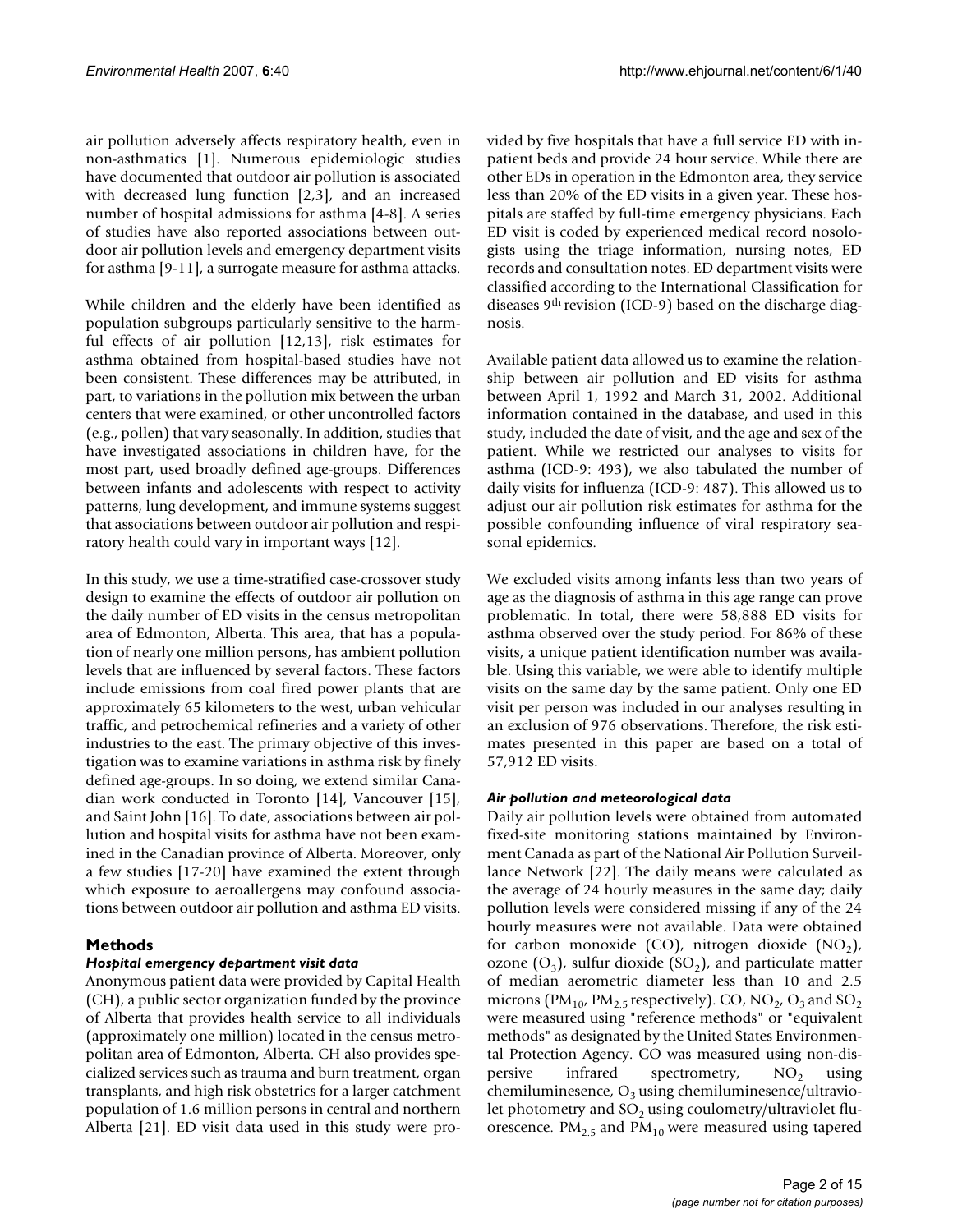air pollution adversely affects respiratory health, even in non-asthmatics [1]. Numerous epidemiologic studies have documented that outdoor air pollution is associated with decreased lung function [2,3], and an increased number of hospital admissions for asthma [4-8]. A series of studies have also reported associations between outdoor air pollution levels and emergency department visits for asthma [9-11], a surrogate measure for asthma attacks.

While children and the elderly have been identified as population subgroups particularly sensitive to the harmful effects of air pollution [12,13], risk estimates for asthma obtained from hospital-based studies have not been consistent. These differences may be attributed, in part, to variations in the pollution mix between the urban centers that were examined, or other uncontrolled factors (e.g., pollen) that vary seasonally. In addition, studies that have investigated associations in children have, for the most part, used broadly defined age-groups. Differences between infants and adolescents with respect to activity patterns, lung development, and immune systems suggest that associations between outdoor air pollution and respiratory health could vary in important ways [12].

In this study, we use a time-stratified case-crossover study design to examine the effects of outdoor air pollution on the daily number of ED visits in the census metropolitan area of Edmonton, Alberta. This area, that has a population of nearly one million persons, has ambient pollution levels that are influenced by several factors. These factors include emissions from coal fired power plants that are approximately 65 kilometers to the west, urban vehicular traffic, and petrochemical refineries and a variety of other industries to the east. The primary objective of this investigation was to examine variations in asthma risk by finely defined age-groups. In so doing, we extend similar Canadian work conducted in Toronto [14], Vancouver [15], and Saint John [16]. To date, associations between air pollution and hospital visits for asthma have not been examined in the Canadian province of Alberta. Moreover, only a few studies [17-20] have examined the extent through which exposure to aeroallergens may confound associations between outdoor air pollution and asthma ED visits.

# **Methods**

# *Hospital emergency department visit data*

Anonymous patient data were provided by Capital Health (CH), a public sector organization funded by the province of Alberta that provides health service to all individuals (approximately one million) located in the census metropolitan area of Edmonton, Alberta. CH also provides specialized services such as trauma and burn treatment, organ transplants, and high risk obstetrics for a larger catchment population of 1.6 million persons in central and northern Alberta [21]. ED visit data used in this study were provided by five hospitals that have a full service ED with inpatient beds and provide 24 hour service. While there are other EDs in operation in the Edmonton area, they service less than 20% of the ED visits in a given year. These hospitals are staffed by full-time emergency physicians. Each ED visit is coded by experienced medical record nosologists using the triage information, nursing notes, ED records and consultation notes. ED department visits were classified according to the International Classification for diseases 9th revision (ICD-9) based on the discharge diagnosis.

Available patient data allowed us to examine the relationship between air pollution and ED visits for asthma between April 1, 1992 and March 31, 2002. Additional information contained in the database, and used in this study, included the date of visit, and the age and sex of the patient. While we restricted our analyses to visits for asthma (ICD-9: 493), we also tabulated the number of daily visits for influenza (ICD-9: 487). This allowed us to adjust our air pollution risk estimates for asthma for the possible confounding influence of viral respiratory seasonal epidemics.

We excluded visits among infants less than two years of age as the diagnosis of asthma in this age range can prove problematic. In total, there were 58,888 ED visits for asthma observed over the study period. For 86% of these visits, a unique patient identification number was available. Using this variable, we were able to identify multiple visits on the same day by the same patient. Only one ED visit per person was included in our analyses resulting in an exclusion of 976 observations. Therefore, the risk estimates presented in this paper are based on a total of 57,912 ED visits.

# *Air pollution and meteorological data*

Daily air pollution levels were obtained from automated fixed-site monitoring stations maintained by Environment Canada as part of the National Air Pollution Surveillance Network [22]. The daily means were calculated as the average of 24 hourly measures in the same day; daily pollution levels were considered missing if any of the 24 hourly measures were not available. Data were obtained for carbon monoxide (CO), nitrogen dioxide  $(NO<sub>2</sub>)$ , ozone  $(O_3)$ , sulfur dioxide  $(SO_2)$ , and particulate matter of median aerometric diameter less than 10 and 2.5 microns (PM<sub>10</sub>, PM<sub>2.5</sub> respectively). CO, NO<sub>2</sub>, O<sub>3</sub> and SO<sub>2</sub> were measured using "reference methods" or "equivalent methods" as designated by the United States Environmental Protection Agency. CO was measured using non-dispersive infrared spectrometry,  $NO<sub>2</sub>$  using  $chemiluminesence,  $O_3$  using chemiluminesence/ultravio$ let photometry and  $SO_2$  using coulometry/ultraviolet fluorescence.  $PM_{2.5}$  and  $PM_{10}$  were measured using tapered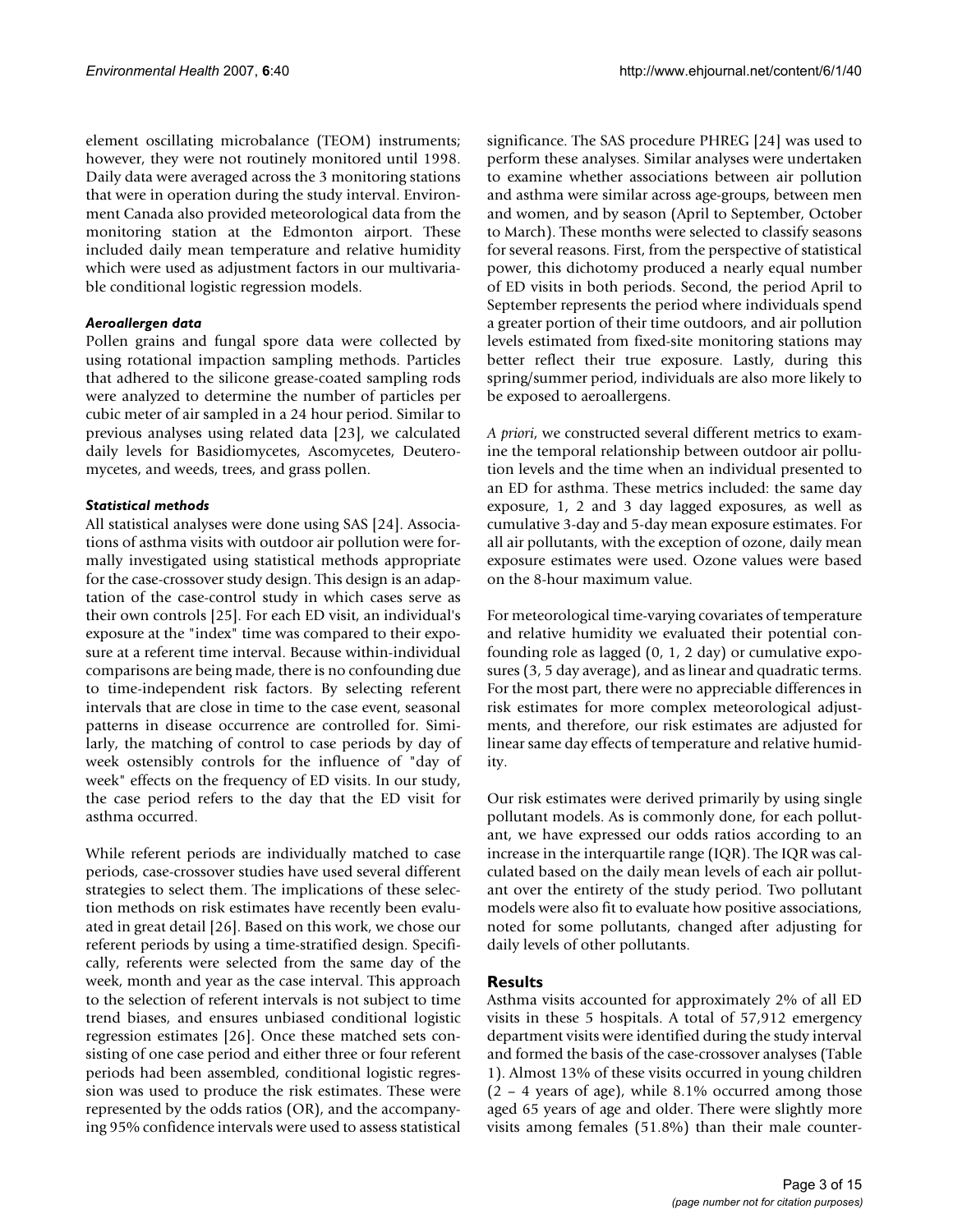element oscillating microbalance (TEOM) instruments; however, they were not routinely monitored until 1998. Daily data were averaged across the 3 monitoring stations that were in operation during the study interval. Environment Canada also provided meteorological data from the monitoring station at the Edmonton airport. These included daily mean temperature and relative humidity which were used as adjustment factors in our multivariable conditional logistic regression models.

### *Aeroallergen data*

Pollen grains and fungal spore data were collected by using rotational impaction sampling methods. Particles that adhered to the silicone grease-coated sampling rods were analyzed to determine the number of particles per cubic meter of air sampled in a 24 hour period. Similar to previous analyses using related data [23], we calculated daily levels for Basidiomycetes, Ascomycetes, Deuteromycetes, and weeds, trees, and grass pollen.

## *Statistical methods*

All statistical analyses were done using SAS [24]. Associations of asthma visits with outdoor air pollution were formally investigated using statistical methods appropriate for the case-crossover study design. This design is an adaptation of the case-control study in which cases serve as their own controls [25]. For each ED visit, an individual's exposure at the "index" time was compared to their exposure at a referent time interval. Because within-individual comparisons are being made, there is no confounding due to time-independent risk factors. By selecting referent intervals that are close in time to the case event, seasonal patterns in disease occurrence are controlled for. Similarly, the matching of control to case periods by day of week ostensibly controls for the influence of "day of week" effects on the frequency of ED visits. In our study, the case period refers to the day that the ED visit for asthma occurred.

While referent periods are individually matched to case periods, case-crossover studies have used several different strategies to select them. The implications of these selection methods on risk estimates have recently been evaluated in great detail [26]. Based on this work, we chose our referent periods by using a time-stratified design. Specifically, referents were selected from the same day of the week, month and year as the case interval. This approach to the selection of referent intervals is not subject to time trend biases, and ensures unbiased conditional logistic regression estimates [26]. Once these matched sets consisting of one case period and either three or four referent periods had been assembled, conditional logistic regression was used to produce the risk estimates. These were represented by the odds ratios (OR), and the accompanying 95% confidence intervals were used to assess statistical

significance. The SAS procedure PHREG [24] was used to perform these analyses. Similar analyses were undertaken to examine whether associations between air pollution and asthma were similar across age-groups, between men and women, and by season (April to September, October to March). These months were selected to classify seasons for several reasons. First, from the perspective of statistical power, this dichotomy produced a nearly equal number of ED visits in both periods. Second, the period April to September represents the period where individuals spend a greater portion of their time outdoors, and air pollution levels estimated from fixed-site monitoring stations may better reflect their true exposure. Lastly, during this spring/summer period, individuals are also more likely to be exposed to aeroallergens.

*A priori*, we constructed several different metrics to examine the temporal relationship between outdoor air pollution levels and the time when an individual presented to an ED for asthma. These metrics included: the same day exposure, 1, 2 and 3 day lagged exposures, as well as cumulative 3-day and 5-day mean exposure estimates. For all air pollutants, with the exception of ozone, daily mean exposure estimates were used. Ozone values were based on the 8-hour maximum value.

For meteorological time-varying covariates of temperature and relative humidity we evaluated their potential confounding role as lagged (0, 1, 2 day) or cumulative exposures (3, 5 day average), and as linear and quadratic terms. For the most part, there were no appreciable differences in risk estimates for more complex meteorological adjustments, and therefore, our risk estimates are adjusted for linear same day effects of temperature and relative humidity.

Our risk estimates were derived primarily by using single pollutant models. As is commonly done, for each pollutant, we have expressed our odds ratios according to an increase in the interquartile range (IQR). The IQR was calculated based on the daily mean levels of each air pollutant over the entirety of the study period. Two pollutant models were also fit to evaluate how positive associations, noted for some pollutants, changed after adjusting for daily levels of other pollutants.

### **Results**

Asthma visits accounted for approximately 2% of all ED visits in these 5 hospitals. A total of 57,912 emergency department visits were identified during the study interval and formed the basis of the case-crossover analyses (Table 1). Almost 13% of these visits occurred in young children  $(2 - 4$  years of age), while 8.1% occurred among those aged 65 years of age and older. There were slightly more visits among females (51.8%) than their male counter-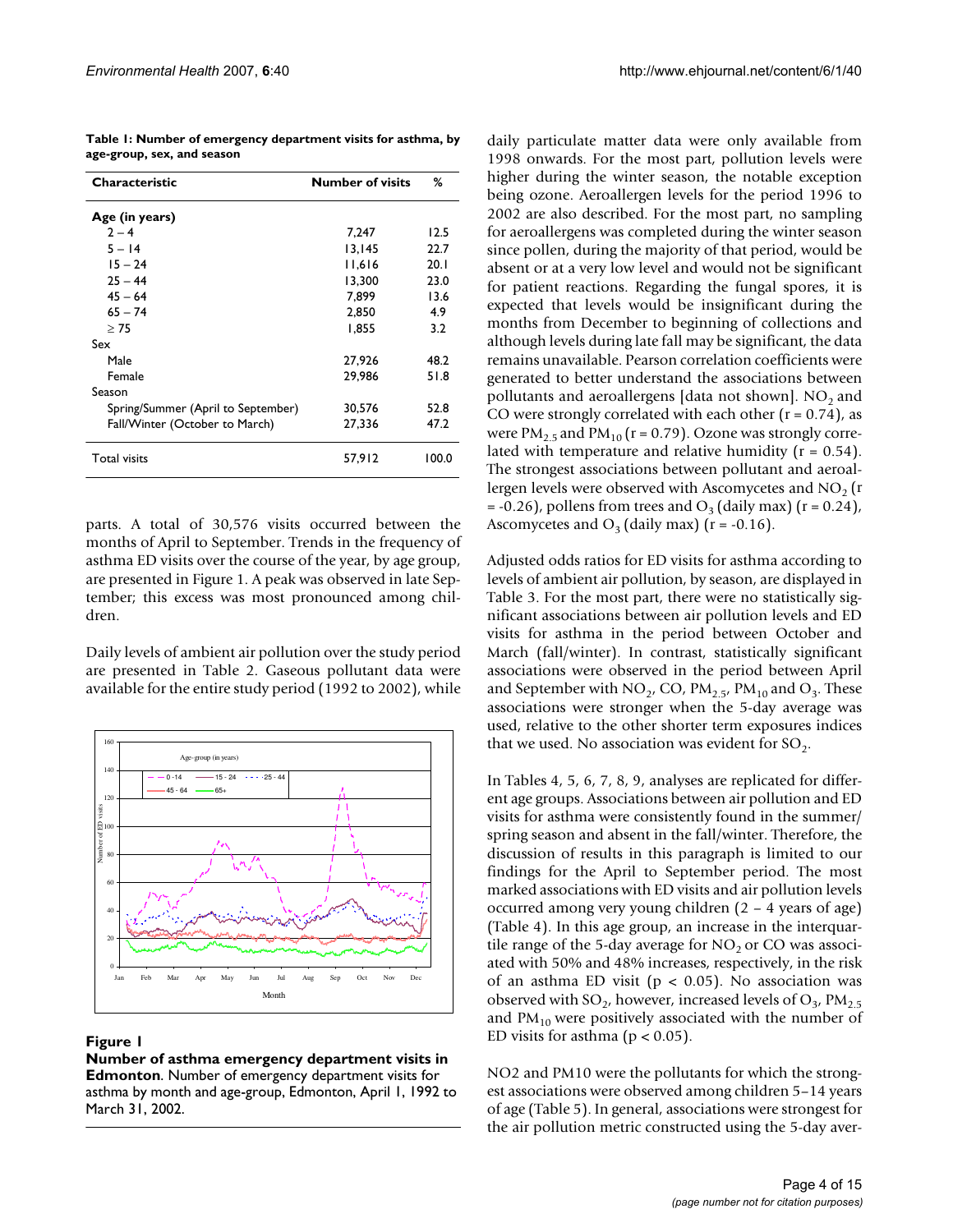| <b>Characteristic</b>              | <b>Number of visits</b> | %     |
|------------------------------------|-------------------------|-------|
| Age (in years)                     |                         |       |
| $2 - 4$                            | 7,247                   | 12.5  |
| $5 - 14$                           | 13,145                  | 22.7  |
| $15 - 24$                          | 11,616                  | 20.1  |
| $25 - 44$                          | 13,300                  | 23.0  |
| $45 - 64$                          | 7.899                   | 13.6  |
| $65 - 74$                          | 2,850                   | 4.9   |
| >75                                | 1,855                   | 3.2   |
| Sex                                |                         |       |
| Male                               | 27,926                  | 48.2  |
| Female                             | 29,986                  | 51.8  |
| Season                             |                         |       |
| Spring/Summer (April to September) | 30,576                  | 52.8  |
| Fall/Winter (October to March)     | 27,336                  | 47.2  |
| <b>Total visits</b>                | 57,912                  | 100.0 |

**Table 1: Number of emergency department visits for asthma, by age-group, sex, and season**

parts. A total of 30,576 visits occurred between the months of April to September. Trends in the frequency of asthma ED visits over the course of the year, by age group, are presented in Figure 1. A peak was observed in late September; this excess was most pronounced among children.

Daily levels of ambient air pollution over the study period are presented in Table 2. Gaseous pollutant data were available for the entire study period (1992 to 2002), while



#### Figure 1

**Number of asthma emergency department visits in Edmonton**. Number of emergency department visits for asthma by month and age-group, Edmonton, April 1, 1992 to March 31, 2002.

daily particulate matter data were only available from 1998 onwards. For the most part, pollution levels were higher during the winter season, the notable exception being ozone. Aeroallergen levels for the period 1996 to 2002 are also described. For the most part, no sampling for aeroallergens was completed during the winter season since pollen, during the majority of that period, would be absent or at a very low level and would not be significant for patient reactions. Regarding the fungal spores, it is expected that levels would be insignificant during the months from December to beginning of collections and although levels during late fall may be significant, the data remains unavailable. Pearson correlation coefficients were generated to better understand the associations between pollutants and aeroallergens [data not shown].  $NO<sub>2</sub>$  and CO were strongly correlated with each other  $(r = 0.74)$ , as were  $PM_{2.5}$  and  $PM_{10}$  (r = 0.79). Ozone was strongly correlated with temperature and relative humidity ( $r = 0.54$ ). The strongest associations between pollutant and aeroallergen levels were observed with Ascomycetes and  $NO<sub>2</sub>$  (r = -0.26), pollens from trees and  $O_3$  (daily max) (r = 0.24), Ascomycetes and  $O_3$  (daily max) (r = -0.16).

Adjusted odds ratios for ED visits for asthma according to levels of ambient air pollution, by season, are displayed in Table 3. For the most part, there were no statistically significant associations between air pollution levels and ED visits for asthma in the period between October and March (fall/winter). In contrast, statistically significant associations were observed in the period between April and September with  $NO<sub>2</sub>$ , CO, PM<sub>2.5</sub>, PM<sub>10</sub> and O<sub>3</sub>. These associations were stronger when the 5-day average was used, relative to the other shorter term exposures indices that we used. No association was evident for  $SO_2$ .

In Tables 4, 5, 6, 7, 8, 9, analyses are replicated for different age groups. Associations between air pollution and ED visits for asthma were consistently found in the summer/ spring season and absent in the fall/winter. Therefore, the discussion of results in this paragraph is limited to our findings for the April to September period. The most marked associations with ED visits and air pollution levels occurred among very young children (2 – 4 years of age) (Table 4). In this age group, an increase in the interquartile range of the 5-day average for  $NO<sub>2</sub>$  or CO was associated with 50% and 48% increases, respectively, in the risk of an asthma ED visit ( $p < 0.05$ ). No association was observed with SO<sub>2</sub>, however, increased levels of O<sub>3</sub>, PM<sub>2.5</sub> and  $PM_{10}$  were positively associated with the number of ED visits for asthma ( $p < 0.05$ ).

NO2 and PM10 were the pollutants for which the strongest associations were observed among children 5–14 years of age (Table 5). In general, associations were strongest for the air pollution metric constructed using the 5-day aver-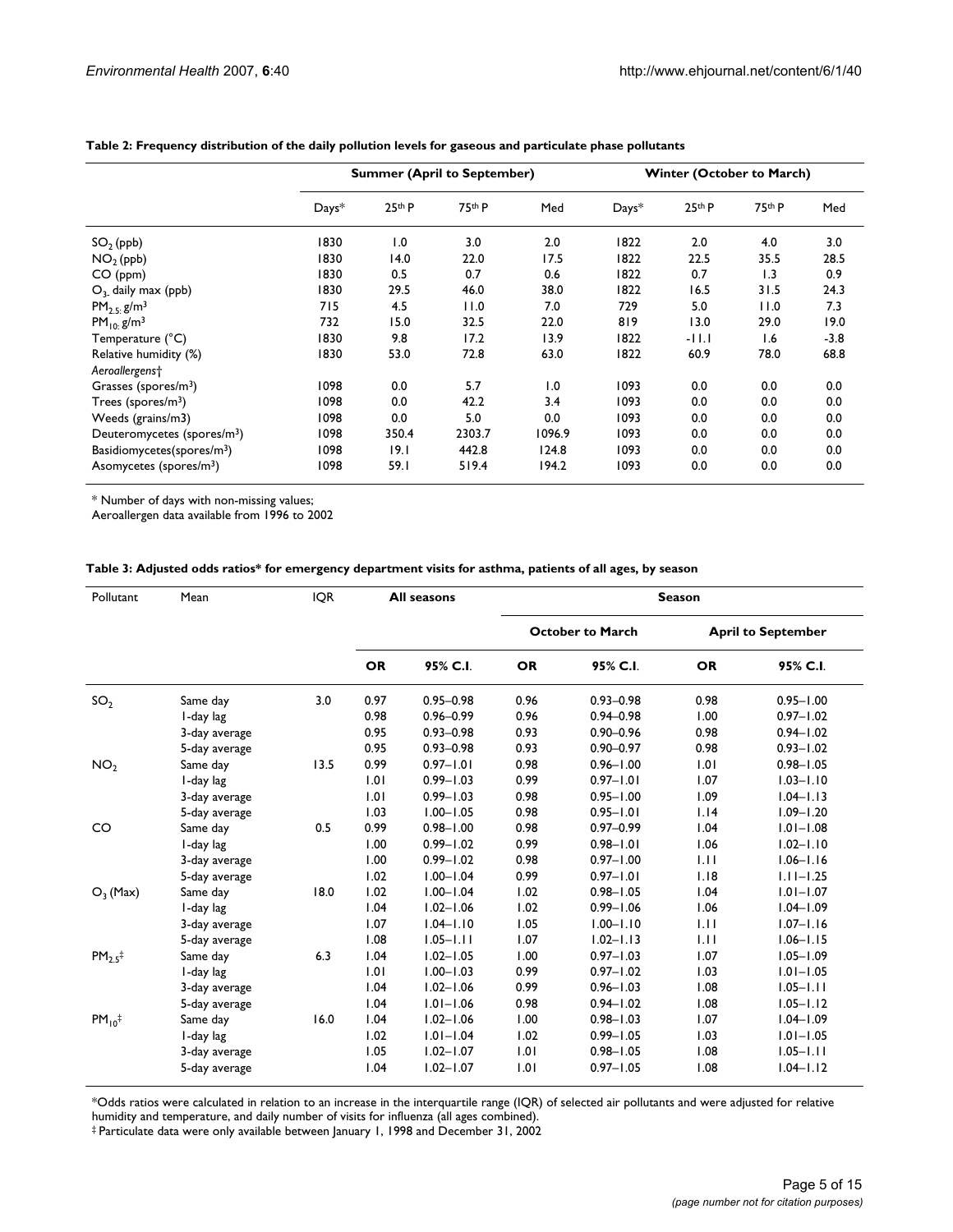|                                         | <b>Summer (April to September)</b> |                  |        |        | <b>Winter (October to March)</b> |          |        |        |
|-----------------------------------------|------------------------------------|------------------|--------|--------|----------------------------------|----------|--------|--------|
|                                         | $_{\text{Days}}*$                  | 25th P           | 75th P | Med    | $Days*$                          | $25th$ P | 75th P | Med    |
| $SO2$ (ppb)                             | 1830                               | $\overline{1.0}$ | 3.0    | 2.0    | 1822                             | 2.0      | 4.0    | 3.0    |
| $NO2$ (ppb)                             | 1830                               | 14.0             | 22.0   | 17.5   | 1822                             | 22.5     | 35.5   | 28.5   |
| $CO$ (ppm)                              | 1830                               | 0.5              | 0.7    | 0.6    | 1822                             | 0.7      | 1.3    | 0.9    |
| $O_3$ daily max (ppb)                   | 1830                               | 29.5             | 46.0   | 38.0   | 1822                             | 16.5     | 31.5   | 24.3   |
| PM <sub>25</sub> $g/m^3$                | 715                                | 4.5              | 11.0   | 7.0    | 729                              | 5.0      | 11.0   | 7.3    |
| $PM_{10:} g/m^3$                        | 732                                | 15.0             | 32.5   | 22.0   | 819                              | 13.0     | 29.0   | 19.0   |
| Temperature (°C)                        | 1830                               | 9.8              | 17.2   | 13.9   | 1822                             | -11.1    | 1.6    | $-3.8$ |
| Relative humidity (%)                   | 1830                               | 53.0             | 72.8   | 63.0   | 1822                             | 60.9     | 78.0   | 68.8   |
| Aeroallergens+                          |                                    |                  |        |        |                                  |          |        |        |
| Grasses (spores/m <sup>3</sup> )        | 1098                               | 0.0              | 5.7    | 1.0    | 1093                             | 0.0      | 0.0    | 0.0    |
| Trees (spores/ $m3$ )                   | 1098                               | 0.0              | 42.2   | 3.4    | 1093                             | 0.0      | 0.0    | 0.0    |
| Weeds (grains/m3)                       | 1098                               | 0.0              | 5.0    | 0.0    | 1093                             | 0.0      | 0.0    | 0.0    |
| Deuteromycetes (spores/m <sup>3</sup> ) | 1098                               | 350.4            | 2303.7 | 1096.9 | 1093                             | 0.0      | 0.0    | 0.0    |
| Basidiomycetes (spores/m <sup>3</sup> ) | 1098                               | 9.1              | 442.8  | 124.8  | 1093                             | 0.0      | 0.0    | 0.0    |
| Asomycetes (spores/m <sup>3</sup> )     | 1098                               | 59. I            | 519.4  | 194.2  | 1093                             | 0.0      | 0.0    | 0.0    |

**Table 2: Frequency distribution of the daily pollution levels for gaseous and particulate phase pollutants**

 $^\ast$  Number of days with non-missing values;

Aeroallergen data available from 1996 to 2002

**Table 3: Adjusted odds ratios\* for emergency department visits for asthma, patients of all ages, by season**

| Pollutant               | Mean          | <b>IOR</b> | All seasons |               | <b>Season</b> |                         |           |                           |  |
|-------------------------|---------------|------------|-------------|---------------|---------------|-------------------------|-----------|---------------------------|--|
|                         |               |            |             |               |               | <b>October to March</b> |           | <b>April to September</b> |  |
|                         |               |            | <b>OR</b>   | 95% C.I.      | <b>OR</b>     | 95% C.I.                | <b>OR</b> | 95% C.I.                  |  |
| SO <sub>2</sub>         | Same day      | 3.0        | 0.97        | $0.95 - 0.98$ | 0.96          | $0.93 - 0.98$           | 0.98      | $0.95 - 1.00$             |  |
|                         | I-day lag     |            | 0.98        | $0.96 - 0.99$ | 0.96          | $0.94 - 0.98$           | 1.00      | $0.97 - 1.02$             |  |
|                         | 3-day average |            | 0.95        | $0.93 - 0.98$ | 0.93          | $0.90 - 0.96$           | 0.98      | $0.94 - 1.02$             |  |
|                         | 5-day average |            | 0.95        | $0.93 - 0.98$ | 0.93          | $0.90 - 0.97$           | 0.98      | $0.93 - 1.02$             |  |
| NO <sub>2</sub>         | Same day      | 13.5       | 0.99        | $0.97 - 1.01$ | 0.98          | $0.96 - 1.00$           | 1.01      | $0.98 - 1.05$             |  |
|                         | I-day lag     |            | 1.01        | $0.99 - 1.03$ | 0.99          | $0.97 - 1.01$           | 1.07      | $1.03 - 1.10$             |  |
|                         | 3-day average |            | 1.01        | $0.99 - 1.03$ | 0.98          | $0.95 - 1.00$           | 1.09      | $1.04 - 1.13$             |  |
|                         | 5-day average |            | 1.03        | $1.00 - 1.05$ | 0.98          | $0.95 - 1.01$           | 1.14      | $1.09 - 1.20$             |  |
| CO                      | Same day      | 0.5        | 0.99        | $0.98 - 1.00$ | 0.98          | $0.97 - 0.99$           | 1.04      | $1.01 - 1.08$             |  |
|                         | I-day lag     |            | 1.00        | $0.99 - 1.02$ | 0.99          | $0.98 - 1.01$           | 1.06      | $1.02 - 1.10$             |  |
|                         | 3-day average |            | 1.00        | $0.99 - 1.02$ | 0.98          | $0.97 - 1.00$           | 1.11      | $1.06 - 1.16$             |  |
|                         | 5-day average |            | 1.02        | $1.00 - 1.04$ | 0.99          | $0.97 - 1.01$           | 1.18      | $1.11 - 1.25$             |  |
| $O_3$ (Max)             | Same day      | 18.0       | 1.02        | $1.00 - 1.04$ | 1.02          | $0.98 - 1.05$           | 1.04      | $1.01 - 1.07$             |  |
|                         | I-day lag     |            | 1.04        | $1.02 - 1.06$ | 1.02          | $0.99 - 1.06$           | 1.06      | $1.04 - 1.09$             |  |
|                         | 3-day average |            | 1.07        | $1.04 - 1.10$ | 1.05          | $1.00 - 1.10$           | 1.11      | $1.07 - 1.16$             |  |
|                         | 5-day average |            | 1.08        | $1.05 - 1.11$ | 1.07          | $1.02 - 1.13$           | 1.11      | $1.06 - 1.15$             |  |
| $PM_{2.5}$ <sup>‡</sup> | Same day      | 6.3        | 1.04        | $1.02 - 1.05$ | 1.00          | $0.97 - 1.03$           | 1.07      | $1.05 - 1.09$             |  |
|                         | I-day lag     |            | 1.01        | $1.00 - 1.03$ | 0.99          | $0.97 - 1.02$           | 1.03      | $1.01 - 1.05$             |  |
|                         | 3-day average |            | 1.04        | $1.02 - 1.06$ | 0.99          | $0.96 - 1.03$           | 1.08      | $1.05 - 1.11$             |  |
|                         | 5-day average |            | 1.04        | $1.01 - 1.06$ | 0.98          | $0.94 - 1.02$           | 1.08      | $1.05 - 1.12$             |  |
| $PM_{10}$ <sup>#</sup>  | Same day      | 16.0       | 1.04        | $1.02 - 1.06$ | 1.00          | $0.98 - 1.03$           | 1.07      | $1.04 - 1.09$             |  |
|                         | I-day lag     |            | 1.02        | $1.01 - 1.04$ | 1.02          | $0.99 - 1.05$           | 1.03      | $1.01 - 1.05$             |  |
|                         | 3-day average |            | 1.05        | $1.02 - 1.07$ | 1.01          | $0.98 - 1.05$           | 1.08      | $1.05 - 1.11$             |  |
|                         | 5-day average |            | 1.04        | $1.02 - 1.07$ | 1.01          | $0.97 - 1.05$           | 1.08      | $1.04 - 1.12$             |  |

\*Odds ratios were calculated in relation to an increase in the interquartile range (IQR) of selected air pollutants and were adjusted for relative humidity and temperature, and daily number of visits for influenza (all ages combined).

‡ Particulate data were only available between January 1, 1998 and December 31, 2002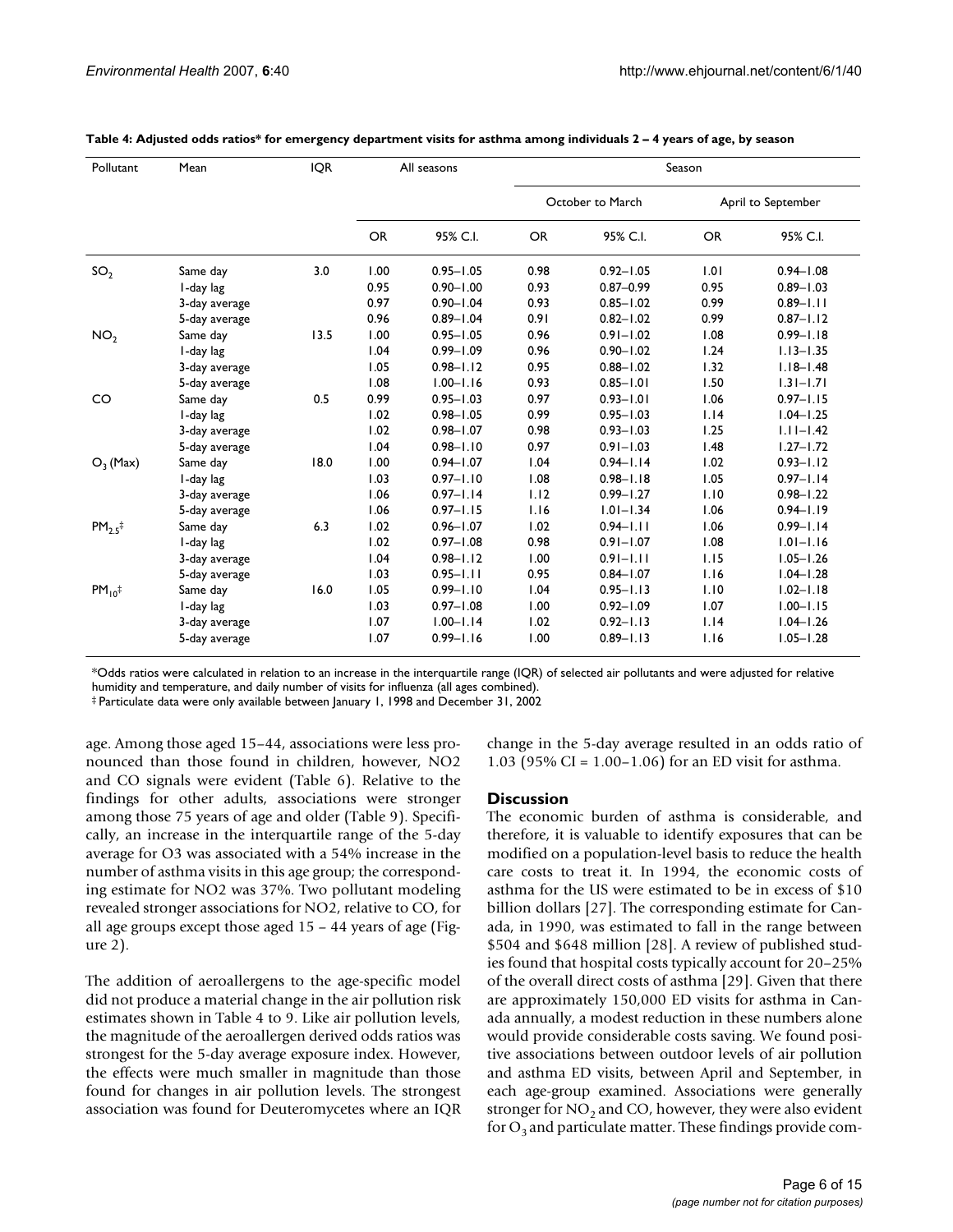| Pollutant               | Mean          | <b>IOR</b> |           | All seasons   |           | Season           |           |                    |  |  |
|-------------------------|---------------|------------|-----------|---------------|-----------|------------------|-----------|--------------------|--|--|
|                         |               |            |           |               |           | October to March |           | April to September |  |  |
|                         |               |            | <b>OR</b> | 95% C.I.      | <b>OR</b> | 95% C.I.         | <b>OR</b> | 95% C.I.           |  |  |
| SO <sub>2</sub>         | Same day      | 3.0        | 1.00      | $0.95 - 1.05$ | 0.98      | $0.92 - 1.05$    | 1.01      | $0.94 - 1.08$      |  |  |
|                         | I-day lag     |            | 0.95      | $0.90 - 1.00$ | 0.93      | $0.87 - 0.99$    | 0.95      | $0.89 - 1.03$      |  |  |
|                         | 3-day average |            | 0.97      | $0.90 - 1.04$ | 0.93      | $0.85 - 1.02$    | 0.99      | $0.89 - 1.11$      |  |  |
|                         | 5-day average |            | 0.96      | $0.89 - 1.04$ | 0.91      | $0.82 - 1.02$    | 0.99      | $0.87 - 1.12$      |  |  |
| NO <sub>2</sub>         | Same day      | 13.5       | 1.00      | $0.95 - 1.05$ | 0.96      | $0.91 - 1.02$    | 1.08      | $0.99 - 1.18$      |  |  |
|                         | I-day lag     |            | 1.04      | $0.99 - 1.09$ | 0.96      | $0.90 - 1.02$    | 1.24      | $1.13 - 1.35$      |  |  |
|                         | 3-day average |            | 1.05      | $0.98 - 1.12$ | 0.95      | $0.88 - 1.02$    | 1.32      | $1.18 - 1.48$      |  |  |
|                         | 5-day average |            | 1.08      | $1.00 - 1.16$ | 0.93      | $0.85 - 1.01$    | 1.50      | $1.31 - 1.71$      |  |  |
| CO                      | Same day      | 0.5        | 0.99      | $0.95 - 1.03$ | 0.97      | $0.93 - 1.01$    | 1.06      | $0.97 - 1.15$      |  |  |
|                         | I-day lag     |            | 1.02      | $0.98 - 1.05$ | 0.99      | $0.95 - 1.03$    | 1.14      | $1.04 - 1.25$      |  |  |
|                         | 3-day average |            | 1.02      | $0.98 - 1.07$ | 0.98      | $0.93 - 1.03$    | 1.25      | $1.11 - 1.42$      |  |  |
|                         | 5-day average |            | 1.04      | $0.98 - 1.10$ | 0.97      | $0.91 - 1.03$    | 1.48      | $1.27 - 1.72$      |  |  |
| $O_3$ (Max)             | Same day      | 18.0       | 1.00      | $0.94 - 1.07$ | 1.04      | $0.94 - 1.14$    | 1.02      | $0.93 - 1.12$      |  |  |
|                         | I-day lag     |            | 1.03      | $0.97 - 1.10$ | 1.08      | $0.98 - 1.18$    | 1.05      | $0.97 - 1.14$      |  |  |
|                         | 3-day average |            | 1.06      | $0.97 - 1.14$ | 1.12      | $0.99 - 1.27$    | 1.10      | $0.98 - 1.22$      |  |  |
|                         | 5-day average |            | 1.06      | $0.97 - 1.15$ | 1.16      | $1.01 - 1.34$    | 1.06      | $0.94 - 1.19$      |  |  |
| $PM_{2.5}$ <sup>‡</sup> | Same day      | 6.3        | 1.02      | $0.96 - 1.07$ | 1.02      | $0.94 - 1.11$    | 1.06      | $0.99 - 1.14$      |  |  |
|                         | I-day lag     |            | 1.02      | $0.97 - 1.08$ | 0.98      | $0.91 - 1.07$    | 1.08      | $1.01 - 1.16$      |  |  |
|                         | 3-day average |            | 1.04      | $0.98 - 1.12$ | 1.00      | $0.91 - 1.11$    | 1.15      | $1.05 - 1.26$      |  |  |
|                         | 5-day average |            | 1.03      | $0.95 - 1.11$ | 0.95      | $0.84 - 1.07$    | 1.16      | $1.04 - 1.28$      |  |  |
| $PM_{10}$ <sup>#</sup>  | Same day      | 16.0       | 1.05      | $0.99 - 1.10$ | 1.04      | $0.95 - 1.13$    | 1.10      | $1.02 - 1.18$      |  |  |
|                         | I-day lag     |            | 1.03      | $0.97 - 1.08$ | 1.00      | $0.92 - 1.09$    | 1.07      | $1.00 - 1.15$      |  |  |
|                         | 3-day average |            | 1.07      | $1.00 - 1.14$ | 1.02      | $0.92 - 1.13$    | 1.14      | $1.04 - 1.26$      |  |  |
|                         | 5-day average |            | 1.07      | $0.99 - 1.16$ | 1.00      | $0.89 - 1.13$    | 1.16      | $1.05 - 1.28$      |  |  |

#### **Table 4: Adjusted odds ratios\* for emergency department visits for asthma among individuals 2 – 4 years of age, by season**

\*Odds ratios were calculated in relation to an increase in the interquartile range (IQR) of selected air pollutants and were adjusted for relative humidity and temperature, and daily number of visits for influenza (all ages combined).

‡ Particulate data were only available between January 1, 1998 and December 31, 2002

age. Among those aged 15–44, associations were less pronounced than those found in children, however, NO2 and CO signals were evident (Table 6). Relative to the findings for other adults, associations were stronger among those 75 years of age and older (Table 9). Specifically, an increase in the interquartile range of the 5-day average for O3 was associated with a 54% increase in the number of asthma visits in this age group; the corresponding estimate for NO2 was 37%. Two pollutant modeling revealed stronger associations for NO2, relative to CO, for all age groups except those aged 15 – 44 years of age (Figure 2).

The addition of aeroallergens to the age-specific model did not produce a material change in the air pollution risk estimates shown in Table 4 to 9. Like air pollution levels, the magnitude of the aeroallergen derived odds ratios was strongest for the 5-day average exposure index. However, the effects were much smaller in magnitude than those found for changes in air pollution levels. The strongest association was found for Deuteromycetes where an IQR change in the 5-day average resulted in an odds ratio of 1.03 (95% CI = 1.00–1.06) for an ED visit for asthma.

# **Discussion**

The economic burden of asthma is considerable, and therefore, it is valuable to identify exposures that can be modified on a population-level basis to reduce the health care costs to treat it. In 1994, the economic costs of asthma for the US were estimated to be in excess of \$10 billion dollars [27]. The corresponding estimate for Canada, in 1990, was estimated to fall in the range between \$504 and \$648 million [28]. A review of published studies found that hospital costs typically account for 20–25% of the overall direct costs of asthma [29]. Given that there are approximately 150,000 ED visits for asthma in Canada annually, a modest reduction in these numbers alone would provide considerable costs saving. We found positive associations between outdoor levels of air pollution and asthma ED visits, between April and September, in each age-group examined. Associations were generally stronger for  $NO<sub>2</sub>$  and CO, however, they were also evident for  $O_3$  and particulate matter. These findings provide com-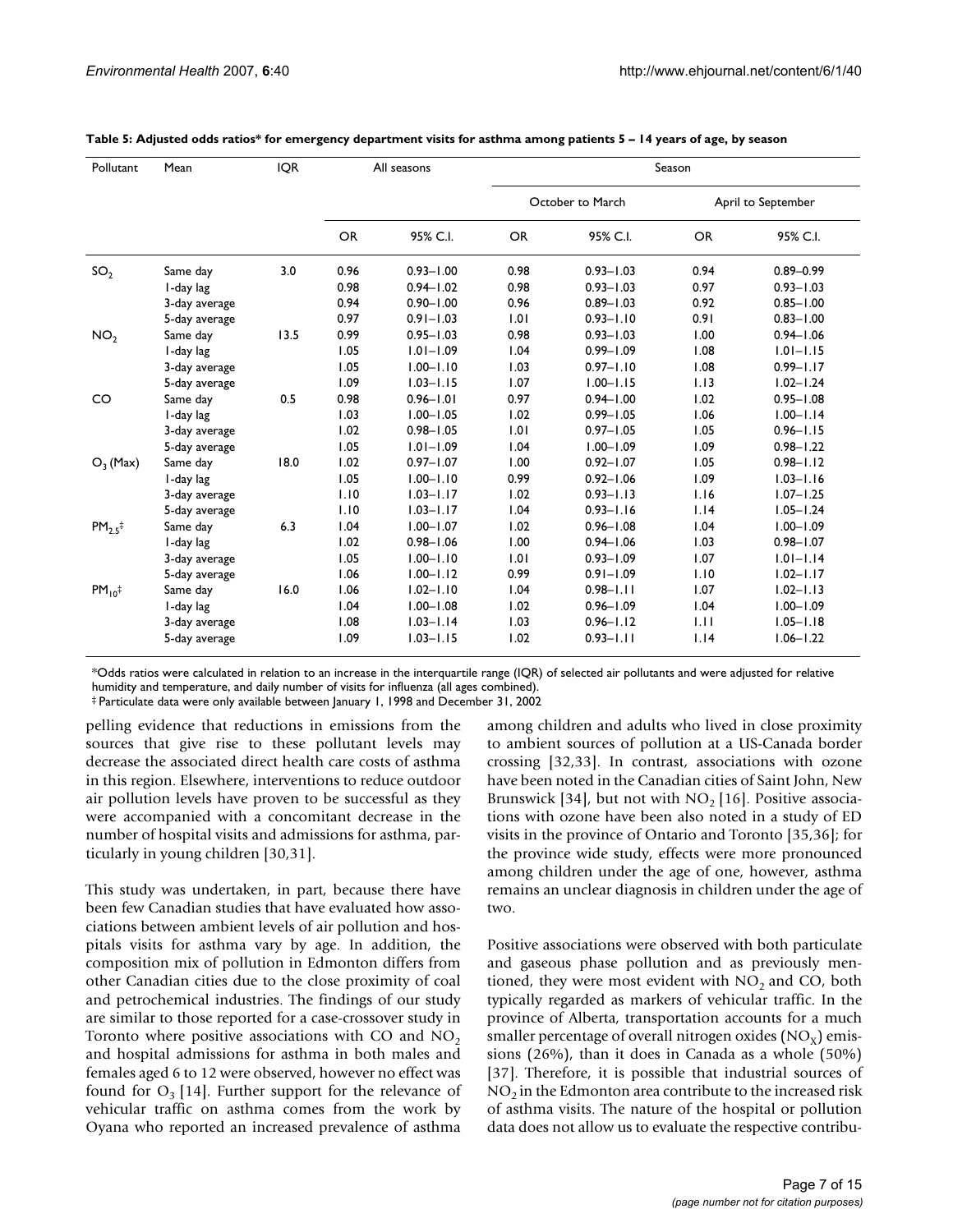| Pollutant               | Mean          | <b>IQR</b> |           | All seasons   |           |                  | Season    |                    |
|-------------------------|---------------|------------|-----------|---------------|-----------|------------------|-----------|--------------------|
|                         |               |            |           |               |           | October to March |           | April to September |
|                         |               |            | <b>OR</b> | 95% C.I.      | <b>OR</b> | 95% C.I.         | <b>OR</b> | 95% C.I.           |
| SO <sub>2</sub>         | Same day      | 3.0        | 0.96      | $0.93 - 1.00$ | 0.98      | $0.93 - 1.03$    | 0.94      | $0.89 - 0.99$      |
|                         | I-day lag     |            | 0.98      | $0.94 - 1.02$ | 0.98      | $0.93 - 1.03$    | 0.97      | $0.93 - 1.03$      |
|                         | 3-day average |            | 0.94      | $0.90 - 1.00$ | 0.96      | $0.89 - 1.03$    | 0.92      | $0.85 - 1.00$      |
|                         | 5-day average |            | 0.97      | $0.91 - 1.03$ | 1.01      | $0.93 - 1.10$    | 0.91      | $0.83 - 1.00$      |
| NO <sub>2</sub>         | Same day      | 13.5       | 0.99      | $0.95 - 1.03$ | 0.98      | $0.93 - 1.03$    | 1.00      | $0.94 - 1.06$      |
|                         | I-day lag     |            | 1.05      | $1.01 - 1.09$ | 1.04      | $0.99 - 1.09$    | 1.08      | $1.01 - 1.15$      |
|                         | 3-day average |            | 1.05      | $1.00 - 1.10$ | 1.03      | $0.97 - 1.10$    | 1.08      | $0.99 - 1.17$      |
|                         | 5-day average |            | 1.09      | $1.03 - 1.15$ | 1.07      | $1.00 - 1.15$    | 1.13      | $1.02 - 1.24$      |
| CO                      | Same day      | 0.5        | 0.98      | $0.96 - 1.01$ | 0.97      | $0.94 - 1.00$    | 1.02      | $0.95 - 1.08$      |
|                         | I-day lag     |            | 1.03      | $1.00 - 1.05$ | 1.02      | $0.99 - 1.05$    | 1.06      | $1.00 - 1.14$      |
|                         | 3-day average |            | 1.02      | $0.98 - 1.05$ | 1.01      | $0.97 - 1.05$    | 1.05      | $0.96 - 1.15$      |
|                         | 5-day average |            | 1.05      | $1.01 - 1.09$ | 1.04      | $1.00 - 1.09$    | 1.09      | $0.98 - 1.22$      |
| $O_3$ (Max)             | Same day      | 18.0       | 1.02      | $0.97 - 1.07$ | 1.00      | $0.92 - 1.07$    | 1.05      | $0.98 - 1.12$      |
|                         | I-day lag     |            | 1.05      | $1.00 - 1.10$ | 0.99      | $0.92 - 1.06$    | 1.09      | $1.03 - 1.16$      |
|                         | 3-day average |            | 1.10      | $1.03 - 1.17$ | 1.02      | $0.93 - 1.13$    | 1.16      | $1.07 - 1.25$      |
|                         | 5-day average |            | 1.10      | $1.03 - 1.17$ | 1.04      | $0.93 - 1.16$    | 1.14      | $1.05 - 1.24$      |
| $PM_{2.5}$ <sup>‡</sup> | Same day      | 6.3        | 1.04      | $1.00 - 1.07$ | 1.02      | $0.96 - 1.08$    | 1.04      | $1.00 - 1.09$      |
|                         | I-day lag     |            | 1.02      | $0.98 - 1.06$ | 1.00      | $0.94 - 1.06$    | 1.03      | $0.98 - 1.07$      |
|                         | 3-day average |            | 1.05      | $1.00 - 1.10$ | 1.01      | $0.93 - 1.09$    | 1.07      | $1.01 - 1.14$      |
|                         | 5-day average |            | 1.06      | $1.00 - 1.12$ | 0.99      | $0.91 - 1.09$    | 1.10      | $1.02 - 1.17$      |
| $PM_{10}$ <sup>#</sup>  | Same day      | 16.0       | 1.06      | $1.02 - 1.10$ | 1.04      | $0.98 - 1.11$    | 1.07      | $1.02 - 1.13$      |
|                         | I-day lag     |            | 1.04      | $1.00 - 1.08$ | 1.02      | $0.96 - 1.09$    | 1.04      | $1.00 - 1.09$      |
|                         | 3-day average |            | 1.08      | $1.03 - 1.14$ | 1.03      | $0.96 - 1.12$    | 1.11      | $1.05 - 1.18$      |
|                         | 5-day average |            | 1.09      | $1.03 - 1.15$ | 1.02      | $0.93 - 1.11$    | 1.14      | $1.06 - 1.22$      |

| Table 5: Adjusted odds ratios* for emergency department visits for asthma among patients 5 – 14 years of age, by season |  |  |  |  |  |  |
|-------------------------------------------------------------------------------------------------------------------------|--|--|--|--|--|--|
|-------------------------------------------------------------------------------------------------------------------------|--|--|--|--|--|--|

\*Odds ratios were calculated in relation to an increase in the interquartile range (IQR) of selected air pollutants and were adjusted for relative humidity and temperature, and daily number of visits for influenza (all ages combined).

‡ Particulate data were only available between January 1, 1998 and December 31, 2002

pelling evidence that reductions in emissions from the sources that give rise to these pollutant levels may decrease the associated direct health care costs of asthma in this region. Elsewhere, interventions to reduce outdoor air pollution levels have proven to be successful as they were accompanied with a concomitant decrease in the number of hospital visits and admissions for asthma, particularly in young children [30,31].

This study was undertaken, in part, because there have been few Canadian studies that have evaluated how associations between ambient levels of air pollution and hospitals visits for asthma vary by age. In addition, the composition mix of pollution in Edmonton differs from other Canadian cities due to the close proximity of coal and petrochemical industries. The findings of our study are similar to those reported for a case-crossover study in Toronto where positive associations with CO and  $NO<sub>2</sub>$ and hospital admissions for asthma in both males and females aged 6 to 12 were observed, however no effect was found for  $O_3$  [14]. Further support for the relevance of vehicular traffic on asthma comes from the work by Oyana who reported an increased prevalence of asthma

among children and adults who lived in close proximity to ambient sources of pollution at a US-Canada border crossing [32,33]. In contrast, associations with ozone have been noted in the Canadian cities of Saint John, New Brunswick [34], but not with  $NO<sub>2</sub>$  [16]. Positive associations with ozone have been also noted in a study of ED visits in the province of Ontario and Toronto [35,36]; for the province wide study, effects were more pronounced among children under the age of one, however, asthma remains an unclear diagnosis in children under the age of two.

Positive associations were observed with both particulate and gaseous phase pollution and as previously mentioned, they were most evident with  $NO<sub>2</sub>$  and CO, both typically regarded as markers of vehicular traffic. In the province of Alberta, transportation accounts for a much smaller percentage of overall nitrogen oxides  $(NO<sub>x</sub>)$  emissions (26%), than it does in Canada as a whole (50%) [37]. Therefore, it is possible that industrial sources of  $NO<sub>2</sub>$  in the Edmonton area contribute to the increased risk of asthma visits. The nature of the hospital or pollution data does not allow us to evaluate the respective contribu-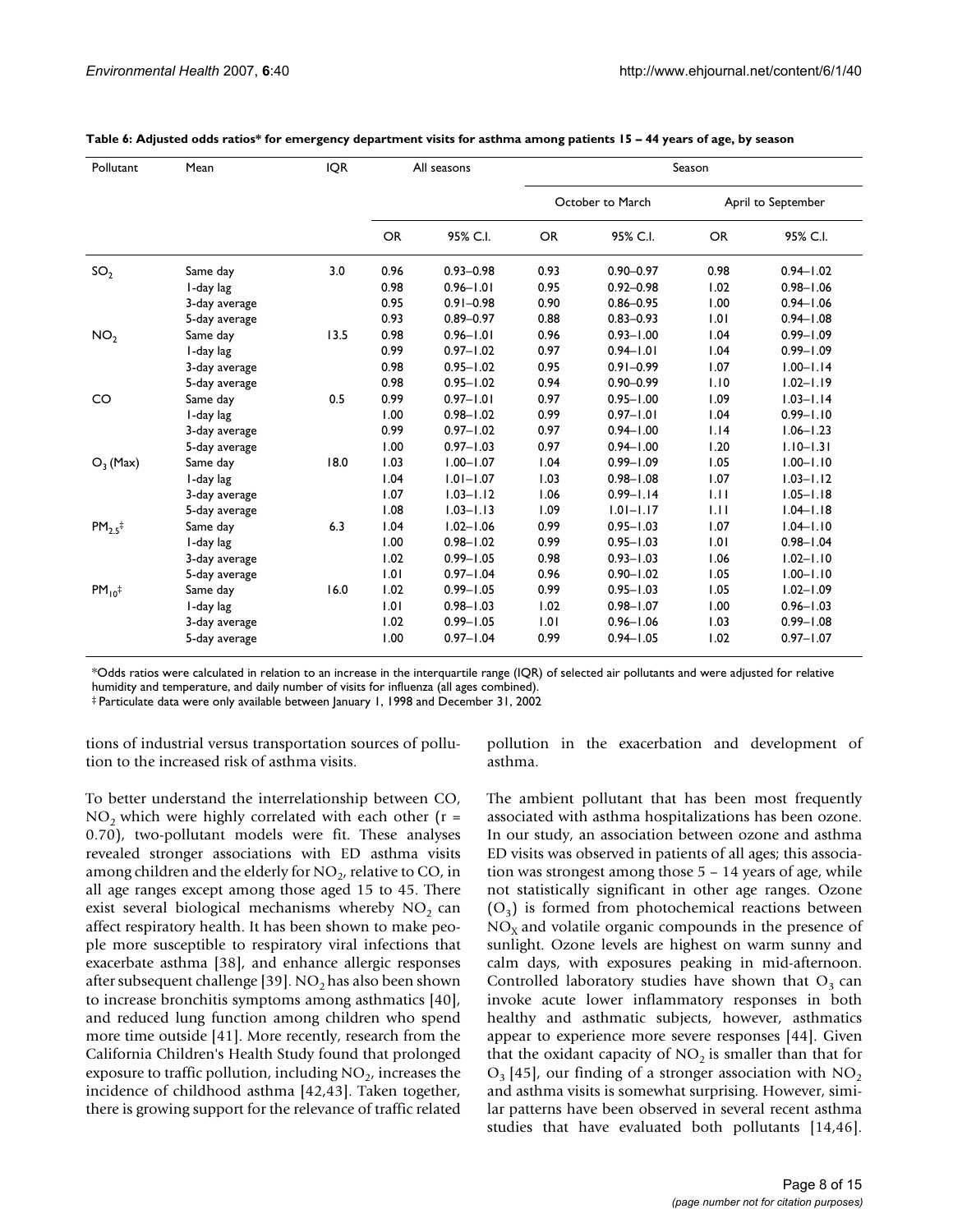| Pollutant               | Mean          | <b>IQR</b> |           | All seasons   |           | Season           |           |                    |  |  |
|-------------------------|---------------|------------|-----------|---------------|-----------|------------------|-----------|--------------------|--|--|
|                         |               |            |           |               |           | October to March |           | April to September |  |  |
|                         |               |            | <b>OR</b> | 95% C.I.      | <b>OR</b> | 95% C.I.         | <b>OR</b> | 95% C.I.           |  |  |
| SO <sub>2</sub>         | Same day      | 3.0        | 0.96      | $0.93 - 0.98$ | 0.93      | $0.90 - 0.97$    | 0.98      | $0.94 - 1.02$      |  |  |
|                         | I-day lag     |            | 0.98      | $0.96 - 1.01$ | 0.95      | $0.92 - 0.98$    | 1.02      | $0.98 - 1.06$      |  |  |
|                         | 3-day average |            | 0.95      | $0.91 - 0.98$ | 0.90      | $0.86 - 0.95$    | 1.00      | $0.94 - 1.06$      |  |  |
|                         | 5-day average |            | 0.93      | $0.89 - 0.97$ | 0.88      | $0.83 - 0.93$    | 1.01      | $0.94 - 1.08$      |  |  |
| NO <sub>2</sub>         | Same day      | 13.5       | 0.98      | $0.96 - 1.01$ | 0.96      | $0.93 - 1.00$    | 1.04      | $0.99 - 1.09$      |  |  |
|                         | I-day lag     |            | 0.99      | $0.97 - 1.02$ | 0.97      | $0.94 - 1.01$    | 1.04      | $0.99 - 1.09$      |  |  |
|                         | 3-day average |            | 0.98      | $0.95 - 1.02$ | 0.95      | $0.91 - 0.99$    | 1.07      | $1.00 - 1.14$      |  |  |
|                         | 5-day average |            | 0.98      | $0.95 - 1.02$ | 0.94      | $0.90 - 0.99$    | 1.10      | $1.02 - 1.19$      |  |  |
| CO                      | Same day      | 0.5        | 0.99      | $0.97 - 1.01$ | 0.97      | $0.95 - 1.00$    | 1.09      | $1.03 - 1.14$      |  |  |
|                         | I-day lag     |            | 1.00      | $0.98 - 1.02$ | 0.99      | $0.97 - 1.01$    | 1.04      | $0.99 - 1.10$      |  |  |
|                         | 3-day average |            | 0.99      | $0.97 - 1.02$ | 0.97      | $0.94 - 1.00$    | 1.14      | $1.06 - 1.23$      |  |  |
|                         | 5-day average |            | 1.00      | $0.97 - 1.03$ | 0.97      | $0.94 - 1.00$    | 1.20      | $1.10 - 1.31$      |  |  |
| $O_3$ (Max)             | Same day      | 18.0       | 1.03      | $1.00 - 1.07$ | 1.04      | $0.99 - 1.09$    | 1.05      | $1.00 - 1.10$      |  |  |
|                         | I-day lag     |            | 1.04      | $1.01 - 1.07$ | 1.03      | $0.98 - 1.08$    | 1.07      | $1.03 - 1.12$      |  |  |
|                         | 3-day average |            | 1.07      | $1.03 - 1.12$ | 1.06      | $0.99 - 1.14$    | 1.11      | $1.05 - 1.18$      |  |  |
|                         | 5-day average |            | 1.08      | $1.03 - 1.13$ | 1.09      | $1.01 - 1.17$    | 1.11      | $1.04 - 1.18$      |  |  |
| $PM_{2.5}$ <sup>‡</sup> | Same day      | 6.3        | 1.04      | $1.02 - 1.06$ | 0.99      | $0.95 - 1.03$    | 1.07      | $1.04 - 1.10$      |  |  |
|                         | I-day lag     |            | 1.00      | $0.98 - 1.02$ | 0.99      | $0.95 - 1.03$    | 1.01      | $0.98 - 1.04$      |  |  |
|                         | 3-day average |            | 1.02      | $0.99 - 1.05$ | 0.98      | $0.93 - 1.03$    | 1.06      | $1.02 - 1.10$      |  |  |
|                         | 5-day average |            | 1.01      | $0.97 - 1.04$ | 0.96      | $0.90 - 1.02$    | 1.05      | $1.00 - 1.10$      |  |  |
| $PM_{10}$ <sup>#</sup>  | Same day      | 16.0       | 1.02      | $0.99 - 1.05$ | 0.99      | $0.95 - 1.03$    | 1.05      | $1.02 - 1.09$      |  |  |
|                         | I-day lag     |            | 1.01      | $0.98 - 1.03$ | 1.02      | $0.98 - 1.07$    | 1.00      | $0.96 - 1.03$      |  |  |
|                         | 3-day average |            | 1.02      | $0.99 - 1.05$ | 1.01      | $0.96 - 1.06$    | 1.03      | $0.99 - 1.08$      |  |  |
|                         | 5-day average |            | 1.00      | $0.97 - 1.04$ | 0.99      | $0.94 - 1.05$    | 1.02      | $0.97 - 1.07$      |  |  |

#### **Table 6: Adjusted odds ratios\* for emergency department visits for asthma among patients 15 – 44 years of age, by season**

\*Odds ratios were calculated in relation to an increase in the interquartile range (IQR) of selected air pollutants and were adjusted for relative humidity and temperature, and daily number of visits for influenza (all ages combined).

‡ Particulate data were only available between January 1, 1998 and December 31, 2002

tions of industrial versus transportation sources of pollution to the increased risk of asthma visits.

pollution in the exacerbation and development of asthma.

To better understand the interrelationship between CO,  $NO<sub>2</sub>$  which were highly correlated with each other (r = 0.70), two-pollutant models were fit. These analyses revealed stronger associations with ED asthma visits among children and the elderly for  $NO<sub>2</sub>$ , relative to CO, in all age ranges except among those aged 15 to 45. There exist several biological mechanisms whereby  $NO<sub>2</sub>$  can affect respiratory health. It has been shown to make people more susceptible to respiratory viral infections that exacerbate asthma [38], and enhance allergic responses after subsequent challenge [39]. NO<sub>2</sub> has also been shown to increase bronchitis symptoms among asthmatics [40], and reduced lung function among children who spend more time outside [41]. More recently, research from the California Children's Health Study found that prolonged exposure to traffic pollution, including  $NO<sub>2</sub>$ , increases the incidence of childhood asthma [42,43]. Taken together, there is growing support for the relevance of traffic related

The ambient pollutant that has been most frequently associated with asthma hospitalizations has been ozone. In our study, an association between ozone and asthma ED visits was observed in patients of all ages; this association was strongest among those 5 – 14 years of age, while not statistically significant in other age ranges. Ozone  $(O<sub>3</sub>)$  is formed from photochemical reactions between  $NO<sub>x</sub>$  and volatile organic compounds in the presence of sunlight. Ozone levels are highest on warm sunny and calm days, with exposures peaking in mid-afternoon. Controlled laboratory studies have shown that  $O_3$  can invoke acute lower inflammatory responses in both healthy and asthmatic subjects, however, asthmatics appear to experience more severe responses [44]. Given that the oxidant capacity of  $NO<sub>2</sub>$  is smaller than that for  $O<sub>3</sub>$  [45], our finding of a stronger association with NO<sub>2</sub> and asthma visits is somewhat surprising. However, similar patterns have been observed in several recent asthma studies that have evaluated both pollutants [14,46].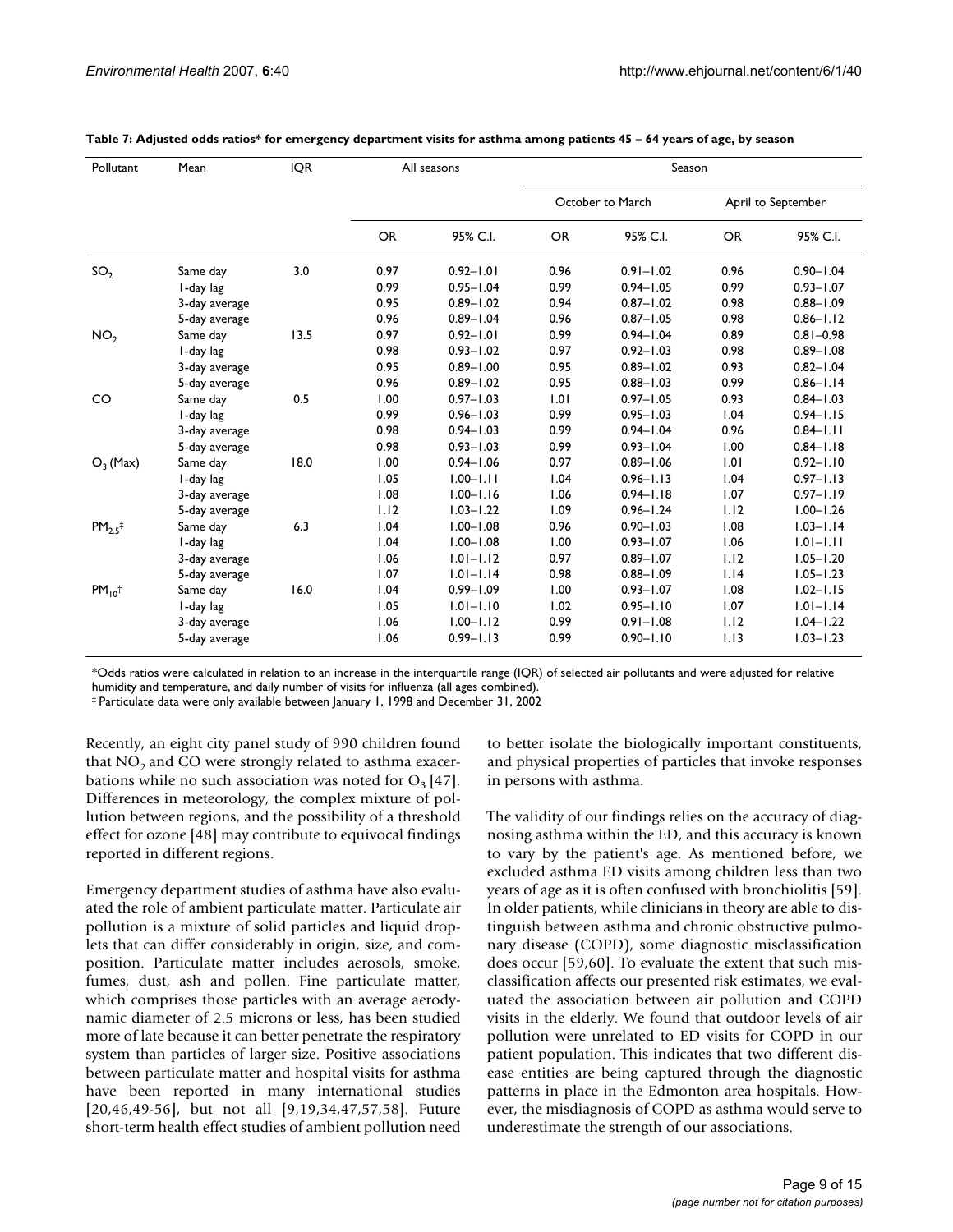| Pollutant               | Mean          | <b>IQR</b> |           | All seasons   | Season    |                  |           |                    |  |
|-------------------------|---------------|------------|-----------|---------------|-----------|------------------|-----------|--------------------|--|
|                         |               |            |           |               |           | October to March |           | April to September |  |
|                         |               |            | <b>OR</b> | 95% C.I.      | <b>OR</b> | 95% C.I.         | <b>OR</b> | 95% C.I.           |  |
| SO <sub>2</sub>         | Same day      | 3.0        | 0.97      | $0.92 - 1.01$ | 0.96      | $0.91 - 1.02$    | 0.96      | $0.90 - 1.04$      |  |
|                         | I-day lag     |            | 0.99      | $0.95 - 1.04$ | 0.99      | $0.94 - 1.05$    | 0.99      | $0.93 - 1.07$      |  |
|                         | 3-day average |            | 0.95      | $0.89 - 1.02$ | 0.94      | $0.87 - 1.02$    | 0.98      | $0.88 - 1.09$      |  |
|                         | 5-day average |            | 0.96      | $0.89 - 1.04$ | 0.96      | $0.87 - 1.05$    | 0.98      | $0.86 - 1.12$      |  |
| NO <sub>2</sub>         | Same day      | 13.5       | 0.97      | $0.92 - 1.01$ | 0.99      | $0.94 - 1.04$    | 0.89      | $0.81 - 0.98$      |  |
|                         | I-day lag     |            | 0.98      | $0.93 - 1.02$ | 0.97      | $0.92 - 1.03$    | 0.98      | $0.89 - 1.08$      |  |
|                         | 3-day average |            | 0.95      | $0.89 - 1.00$ | 0.95      | $0.89 - 1.02$    | 0.93      | $0.82 - 1.04$      |  |
|                         | 5-day average |            | 0.96      | $0.89 - 1.02$ | 0.95      | $0.88 - 1.03$    | 0.99      | $0.86 - 1.14$      |  |
| CO                      | Same day      | 0.5        | 1.00      | $0.97 - 1.03$ | 1.01      | $0.97 - 1.05$    | 0.93      | $0.84 - 1.03$      |  |
|                         | I-day lag     |            | 0.99      | $0.96 - 1.03$ | 0.99      | $0.95 - 1.03$    | 1.04      | $0.94 - 1.15$      |  |
|                         | 3-day average |            | 0.98      | $0.94 - 1.03$ | 0.99      | $0.94 - 1.04$    | 0.96      | $0.84 - 1.11$      |  |
|                         | 5-day average |            | 0.98      | $0.93 - 1.03$ | 0.99      | $0.93 - 1.04$    | 1.00      | $0.84 - 1.18$      |  |
| $O_3$ (Max)             | Same day      | 18.0       | 1.00      | $0.94 - 1.06$ | 0.97      | $0.89 - 1.06$    | 1.01      | $0.92 - 1.10$      |  |
|                         | I-day lag     |            | 1.05      | $1.00 - 1.11$ | 1.04      | $0.96 - 1.13$    | 1.04      | $0.97 - 1.13$      |  |
|                         | 3-day average |            | 1.08      | $1.00 - 1.16$ | 1.06      | $0.94 - 1.18$    | 1.07      | $0.97 - 1.19$      |  |
|                         | 5-day average |            | 1.12      | $1.03 - 1.22$ | 1.09      | $0.96 - 1.24$    | 1.12      | $1.00 - 1.26$      |  |
| $PM_{2.5}$ <sup>‡</sup> | Same day      | 6.3        | 1.04      | $1.00 - 1.08$ | 0.96      | $0.90 - 1.03$    | 1.08      | $1.03 - 1.14$      |  |
|                         | I-day lag     |            | 1.04      | $1.00 - 1.08$ | 1.00      | $0.93 - 1.07$    | 1.06      | $1.01 - 1.11$      |  |
|                         | 3-day average |            | 1.06      | $1.01 - 1.12$ | 0.97      | $0.89 - 1.07$    | 1.12      | $1.05 - 1.20$      |  |
|                         | 5-day average |            | 1.07      | $1.01 - 1.14$ | 0.98      | $0.88 - 1.09$    | 1.14      | $1.05 - 1.23$      |  |
| $PM_{10}$ <sup>#</sup>  | Same day      | 16.0       | 1.04      | $0.99 - 1.09$ | 1.00      | $0.93 - 1.07$    | 1.08      | $1.02 - 1.15$      |  |
|                         | I-day lag     |            | 1.05      | $1.01 - 1.10$ | 1.02      | $0.95 - 1.10$    | 1.07      | $1.01 - 1.14$      |  |
|                         | 3-day average |            | 1.06      | $1.00 - 1.12$ | 0.99      | $0.91 - 1.08$    | 1.12      | $1.04 - 1.22$      |  |
|                         | 5-day average |            | 1.06      | $0.99 - 1.13$ | 0.99      | $0.90 - 1.10$    | 1.13      | $1.03 - 1.23$      |  |

| Table 7: Adjusted odds ratios* for emergency department visits for asthma among patients 45 – 64 years of age, by season |  |  |  |  |
|--------------------------------------------------------------------------------------------------------------------------|--|--|--|--|
|--------------------------------------------------------------------------------------------------------------------------|--|--|--|--|

\*Odds ratios were calculated in relation to an increase in the interquartile range (IQR) of selected air pollutants and were adjusted for relative humidity and temperature, and daily number of visits for influenza (all ages combined).

‡ Particulate data were only available between January 1, 1998 and December 31, 2002

Recently, an eight city panel study of 990 children found that  $NO<sub>2</sub>$  and CO were strongly related to asthma exacerbations while no such association was noted for  $O<sub>3</sub>$  [47]. Differences in meteorology, the complex mixture of pollution between regions, and the possibility of a threshold effect for ozone [48] may contribute to equivocal findings reported in different regions.

Emergency department studies of asthma have also evaluated the role of ambient particulate matter. Particulate air pollution is a mixture of solid particles and liquid droplets that can differ considerably in origin, size, and composition. Particulate matter includes aerosols, smoke, fumes, dust, ash and pollen. Fine particulate matter, which comprises those particles with an average aerodynamic diameter of 2.5 microns or less, has been studied more of late because it can better penetrate the respiratory system than particles of larger size. Positive associations between particulate matter and hospital visits for asthma have been reported in many international studies [20,46,49-56], but not all [9,19,34,47,57,58]. Future short-term health effect studies of ambient pollution need

to better isolate the biologically important constituents, and physical properties of particles that invoke responses in persons with asthma.

The validity of our findings relies on the accuracy of diagnosing asthma within the ED, and this accuracy is known to vary by the patient's age. As mentioned before, we excluded asthma ED visits among children less than two years of age as it is often confused with bronchiolitis [59]. In older patients, while clinicians in theory are able to distinguish between asthma and chronic obstructive pulmonary disease (COPD), some diagnostic misclassification does occur [59,60]. To evaluate the extent that such misclassification affects our presented risk estimates, we evaluated the association between air pollution and COPD visits in the elderly. We found that outdoor levels of air pollution were unrelated to ED visits for COPD in our patient population. This indicates that two different disease entities are being captured through the diagnostic patterns in place in the Edmonton area hospitals. However, the misdiagnosis of COPD as asthma would serve to underestimate the strength of our associations.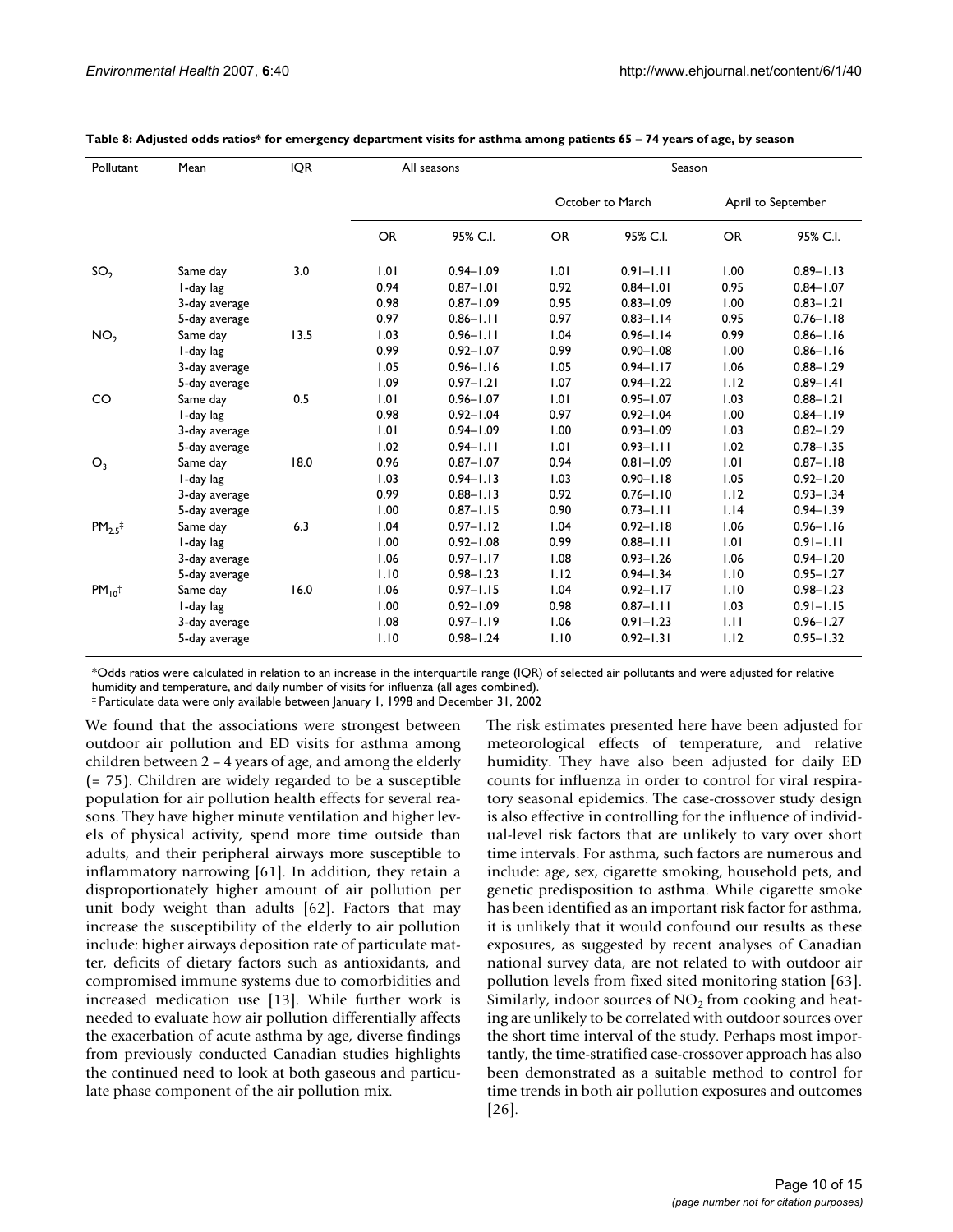| Pollutant               | Mean          | <b>IQR</b> |           | All seasons   |           | Season           |           |                    |  |  |
|-------------------------|---------------|------------|-----------|---------------|-----------|------------------|-----------|--------------------|--|--|
|                         |               |            |           |               |           | October to March |           | April to September |  |  |
|                         |               |            | <b>OR</b> | 95% C.I.      | <b>OR</b> | 95% C.I.         | <b>OR</b> | 95% C.I.           |  |  |
| SO <sub>2</sub>         | Same day      | 3.0        | 1.01      | $0.94 - 1.09$ | 1.01      | $0.91 - 1.11$    | 1.00      | $0.89 - 1.13$      |  |  |
|                         | I-day lag     |            | 0.94      | $0.87 - 1.01$ | 0.92      | $0.84 - 1.01$    | 0.95      | $0.84 - 1.07$      |  |  |
|                         | 3-day average |            | 0.98      | $0.87 - 1.09$ | 0.95      | $0.83 - 1.09$    | 1.00      | $0.83 - 1.21$      |  |  |
|                         | 5-day average |            | 0.97      | $0.86 - 1.11$ | 0.97      | $0.83 - 1.14$    | 0.95      | $0.76 - 1.18$      |  |  |
| NO <sub>2</sub>         | Same day      | 13.5       | 1.03      | $0.96 - 1.11$ | 1.04      | $0.96 - 1.14$    | 0.99      | $0.86 - 1.16$      |  |  |
|                         | I-day lag     |            | 0.99      | $0.92 - 1.07$ | 0.99      | $0.90 - 1.08$    | 1.00      | $0.86 - 1.16$      |  |  |
|                         | 3-day average |            | 1.05      | $0.96 - 1.16$ | 1.05      | $0.94 - 1.17$    | 1.06      | $0.88 - 1.29$      |  |  |
|                         | 5-day average |            | 1.09      | $0.97 - 1.21$ | 1.07      | $0.94 - 1.22$    | 1.12      | $0.89 - 1.41$      |  |  |
| CO                      | Same day      | 0.5        | 1.01      | $0.96 - 1.07$ | 1.01      | $0.95 - 1.07$    | 1.03      | $0.88 - 1.21$      |  |  |
|                         | I-day lag     |            | 0.98      | $0.92 - 1.04$ | 0.97      | $0.92 - 1.04$    | 1.00      | $0.84 - 1.19$      |  |  |
|                         | 3-day average |            | 1.01      | $0.94 - 1.09$ | 1.00      | $0.93 - 1.09$    | 1.03      | $0.82 - 1.29$      |  |  |
|                         | 5-day average |            | 1.02      | $0.94 - 1.11$ | 1.01      | $0.93 - 1.11$    | 1.02      | $0.78 - 1.35$      |  |  |
| O <sub>3</sub>          | Same day      | 18.0       | 0.96      | $0.87 - 1.07$ | 0.94      | $0.81 - 1.09$    | 1.01      | $0.87 - 1.18$      |  |  |
|                         | I-day lag     |            | 1.03      | $0.94 - 1.13$ | 1.03      | $0.90 - 1.18$    | 1.05      | $0.92 - 1.20$      |  |  |
|                         | 3-day average |            | 0.99      | $0.88 - 1.13$ | 0.92      | $0.76 - 1.10$    | 1.12      | $0.93 - 1.34$      |  |  |
|                         | 5-day average |            | 1.00      | $0.87 - 1.15$ | 0.90      | $0.73 - 1.11$    | 1.14      | $0.94 - 1.39$      |  |  |
| $PM_{2.5}$ <sup>‡</sup> | Same day      | 6.3        | 1.04      | $0.97 - 1.12$ | 1.04      | $0.92 - 1.18$    | 1.06      | $0.96 - 1.16$      |  |  |
|                         | I-day lag     |            | 1.00      | $0.92 - 1.08$ | 0.99      | $0.88 - 1.11$    | 1.01      | $0.91 - 1.11$      |  |  |
|                         | 3-day average |            | 1.06      | $0.97 - 1.17$ | 1.08      | $0.93 - 1.26$    | 1.06      | $0.94 - 1.20$      |  |  |
|                         | 5-day average |            | 1.10      | $0.98 - 1.23$ | 1.12      | $0.94 - 1.34$    | 1.10      | $0.95 - 1.27$      |  |  |
| $PM_{10}$ <sup>#</sup>  | Same day      | 16.0       | 1.06      | $0.97 - 1.15$ | 1.04      | $0.92 - 1.17$    | 1.10      | $0.98 - 1.23$      |  |  |
|                         | I-day lag     |            | 1.00      | $0.92 - 1.09$ | 0.98      | $0.87 - 1.11$    | 1.03      | $0.91 - 1.15$      |  |  |
|                         | 3-day average |            | 1.08      | $0.97 - 1.19$ | 1.06      | $0.91 - 1.23$    | 1.11      | $0.96 - 1.27$      |  |  |
|                         | 5-day average |            | 1.10      | $0.98 - 1.24$ | 1.10      | $0.92 - 1.31$    | 1.12      | $0.95 - 1.32$      |  |  |

#### **Table 8: Adjusted odds ratios\* for emergency department visits for asthma among patients 65 – 74 years of age, by season**

\*Odds ratios were calculated in relation to an increase in the interquartile range (IQR) of selected air pollutants and were adjusted for relative humidity and temperature, and daily number of visits for influenza (all ages combined).

‡ Particulate data were only available between January 1, 1998 and December 31, 2002

We found that the associations were strongest between outdoor air pollution and ED visits for asthma among children between 2 – 4 years of age, and among the elderly (= 75). Children are widely regarded to be a susceptible population for air pollution health effects for several reasons. They have higher minute ventilation and higher levels of physical activity, spend more time outside than adults, and their peripheral airways more susceptible to inflammatory narrowing [61]. In addition, they retain a disproportionately higher amount of air pollution per unit body weight than adults [62]. Factors that may increase the susceptibility of the elderly to air pollution include: higher airways deposition rate of particulate matter, deficits of dietary factors such as antioxidants, and compromised immune systems due to comorbidities and increased medication use [13]. While further work is needed to evaluate how air pollution differentially affects the exacerbation of acute asthma by age, diverse findings from previously conducted Canadian studies highlights the continued need to look at both gaseous and particulate phase component of the air pollution mix.

The risk estimates presented here have been adjusted for meteorological effects of temperature, and relative humidity. They have also been adjusted for daily ED counts for influenza in order to control for viral respiratory seasonal epidemics. The case-crossover study design is also effective in controlling for the influence of individual-level risk factors that are unlikely to vary over short time intervals. For asthma, such factors are numerous and include: age, sex, cigarette smoking, household pets, and genetic predisposition to asthma. While cigarette smoke has been identified as an important risk factor for asthma, it is unlikely that it would confound our results as these exposures, as suggested by recent analyses of Canadian national survey data, are not related to with outdoor air pollution levels from fixed sited monitoring station [63]. Similarly, indoor sources of  $NO<sub>2</sub>$  from cooking and heating are unlikely to be correlated with outdoor sources over the short time interval of the study. Perhaps most importantly, the time-stratified case-crossover approach has also been demonstrated as a suitable method to control for time trends in both air pollution exposures and outcomes [26].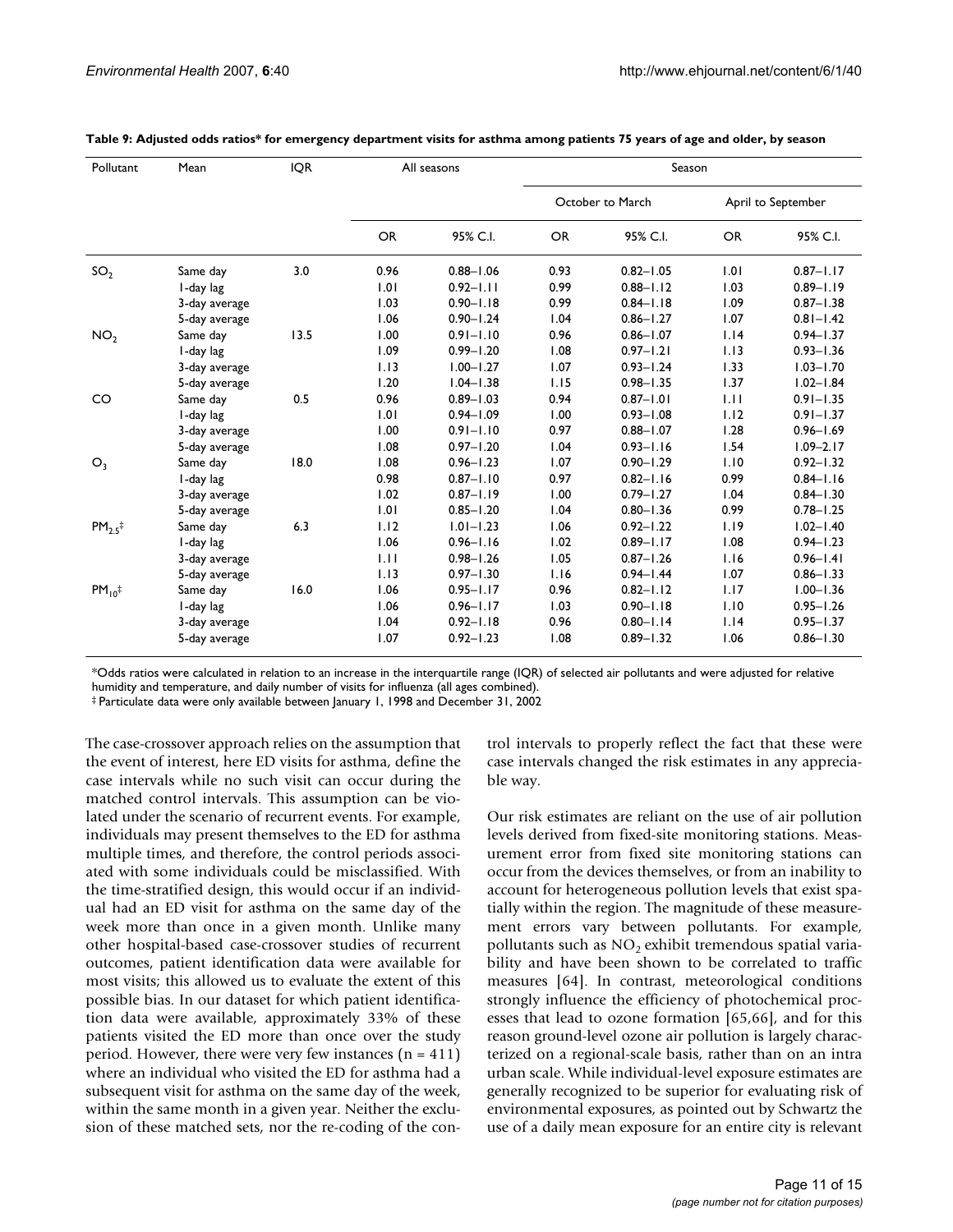| Pollutant               | Mean          | <b>IQR</b><br>All seasons |           | Season        |           |                  |                    |               |
|-------------------------|---------------|---------------------------|-----------|---------------|-----------|------------------|--------------------|---------------|
|                         |               |                           |           |               |           | October to March | April to September |               |
|                         |               |                           | <b>OR</b> | 95% C.I.      | <b>OR</b> | 95% C.I.         | <b>OR</b>          | 95% C.I.      |
| SO <sub>2</sub>         | Same day      | 3.0                       | 0.96      | $0.88 - 1.06$ | 0.93      | $0.82 - 1.05$    | 1.01               | $0.87 - 1.17$ |
|                         | I-day lag     |                           | 1.01      | $0.92 - 1.11$ | 0.99      | $0.88 - 1.12$    | 1.03               | $0.89 - 1.19$ |
|                         | 3-day average |                           | 1.03      | $0.90 - 1.18$ | 0.99      | $0.84 - 1.18$    | 1.09               | $0.87 - 1.38$ |
|                         | 5-day average |                           | 1.06      | $0.90 - 1.24$ | 1.04      | $0.86 - 1.27$    | 1.07               | $0.81 - 1.42$ |
| NO <sub>2</sub>         | Same day      | 13.5                      | 1.00      | $0.91 - 1.10$ | 0.96      | $0.86 - 1.07$    | 1.14               | $0.94 - 1.37$ |
|                         | I-day lag     |                           | 1.09      | $0.99 - 1.20$ | 1.08      | $0.97 - 1.21$    | 1.13               | $0.93 - 1.36$ |
|                         | 3-day average |                           | 1.13      | $1.00 - 1.27$ | 1.07      | $0.93 - 1.24$    | 1.33               | $1.03 - 1.70$ |
|                         | 5-day average |                           | 1.20      | $1.04 - 1.38$ | 1.15      | $0.98 - 1.35$    | 1.37               | $1.02 - 1.84$ |
| CO                      | Same day      | 0.5                       | 0.96      | $0.89 - 1.03$ | 0.94      | $0.87 - 1.01$    | 1.11               | $0.91 - 1.35$ |
|                         | I-day lag     |                           | 1.01      | $0.94 - 1.09$ | 1.00      | $0.93 - 1.08$    | 1.12               | $0.91 - 1.37$ |
|                         | 3-day average |                           | 1.00      | $0.91 - 1.10$ | 0.97      | $0.88 - 1.07$    | 1.28               | $0.96 - 1.69$ |
|                         | 5-day average |                           | 1.08      | $0.97 - 1.20$ | 1.04      | $0.93 - 1.16$    | 1.54               | $1.09 - 2.17$ |
| O <sub>3</sub>          | Same day      | 18.0                      | 1.08      | $0.96 - 1.23$ | 1.07      | $0.90 - 1.29$    | 1.10               | $0.92 - 1.32$ |
|                         | I-day lag     |                           | 0.98      | $0.87 - 1.10$ | 0.97      | $0.82 - 1.16$    | 0.99               | $0.84 - 1.16$ |
|                         | 3-day average |                           | 1.02      | $0.87 - 1.19$ | 1.00      | $0.79 - 1.27$    | 1.04               | $0.84 - 1.30$ |
|                         | 5-day average |                           | 1.01      | $0.85 - 1.20$ | 1.04      | $0.80 - 1.36$    | 0.99               | $0.78 - 1.25$ |
| $PM_{2.5}$ <sup>‡</sup> | Same day      | 6.3                       | 1.12      | $1.01 - 1.23$ | 1.06      | $0.92 - 1.22$    | 1.19               | $1.02 - 1.40$ |
|                         | I-day lag     |                           | 1.06      | $0.96 - 1.16$ | 1.02      | $0.89 - 1.17$    | 1.08               | $0.94 - 1.23$ |
|                         | 3-day average |                           | 1.11      | $0.98 - 1.26$ | 1.05      | $0.87 - 1.26$    | 1.16               | $0.96 - 1.41$ |
|                         | 5-day average |                           | 1.13      | $0.97 - 1.30$ | 1.16      | $0.94 - 1.44$    | 1.07               | $0.86 - 1.33$ |
| $PM_{10}$ <sup>#</sup>  | Same day      | 16.0                      | 1.06      | $0.95 - 1.17$ | 0.96      | $0.82 - 1.12$    | 1.17               | $1.00 - 1.36$ |
|                         | I-day lag     |                           | 1.06      | $0.96 - 1.17$ | 1.03      | $0.90 - 1.18$    | 1.10               | $0.95 - 1.26$ |
|                         | 3-day average |                           | 1.04      | $0.92 - 1.18$ | 0.96      | $0.80 - 1.14$    | 1.14               | $0.95 - 1.37$ |
|                         | 5-day average |                           | 1.07      | $0.92 - 1.23$ | 1.08      | $0.89 - 1.32$    | 1.06               | $0.86 - 1.30$ |

#### **Table 9: Adjusted odds ratios\* for emergency department visits for asthma among patients 75 years of age and older, by season**

\*Odds ratios were calculated in relation to an increase in the interquartile range (IQR) of selected air pollutants and were adjusted for relative humidity and temperature, and daily number of visits for influenza (all ages combined).

‡ Particulate data were only available between January 1, 1998 and December 31, 2002

The case-crossover approach relies on the assumption that the event of interest, here ED visits for asthma, define the case intervals while no such visit can occur during the matched control intervals. This assumption can be violated under the scenario of recurrent events. For example, individuals may present themselves to the ED for asthma multiple times, and therefore, the control periods associated with some individuals could be misclassified. With the time-stratified design, this would occur if an individual had an ED visit for asthma on the same day of the week more than once in a given month. Unlike many other hospital-based case-crossover studies of recurrent outcomes, patient identification data were available for most visits; this allowed us to evaluate the extent of this possible bias. In our dataset for which patient identification data were available, approximately 33% of these patients visited the ED more than once over the study period. However, there were very few instances  $(n = 411)$ where an individual who visited the ED for asthma had a subsequent visit for asthma on the same day of the week, within the same month in a given year. Neither the exclusion of these matched sets, nor the re-coding of the control intervals to properly reflect the fact that these were case intervals changed the risk estimates in any appreciable way.

Our risk estimates are reliant on the use of air pollution levels derived from fixed-site monitoring stations. Measurement error from fixed site monitoring stations can occur from the devices themselves, or from an inability to account for heterogeneous pollution levels that exist spatially within the region. The magnitude of these measurement errors vary between pollutants. For example, pollutants such as  $NO<sub>2</sub>$  exhibit tremendous spatial variability and have been shown to be correlated to traffic measures [64]. In contrast, meteorological conditions strongly influence the efficiency of photochemical processes that lead to ozone formation [65,66], and for this reason ground-level ozone air pollution is largely characterized on a regional-scale basis, rather than on an intra urban scale. While individual-level exposure estimates are generally recognized to be superior for evaluating risk of environmental exposures, as pointed out by Schwartz the use of a daily mean exposure for an entire city is relevant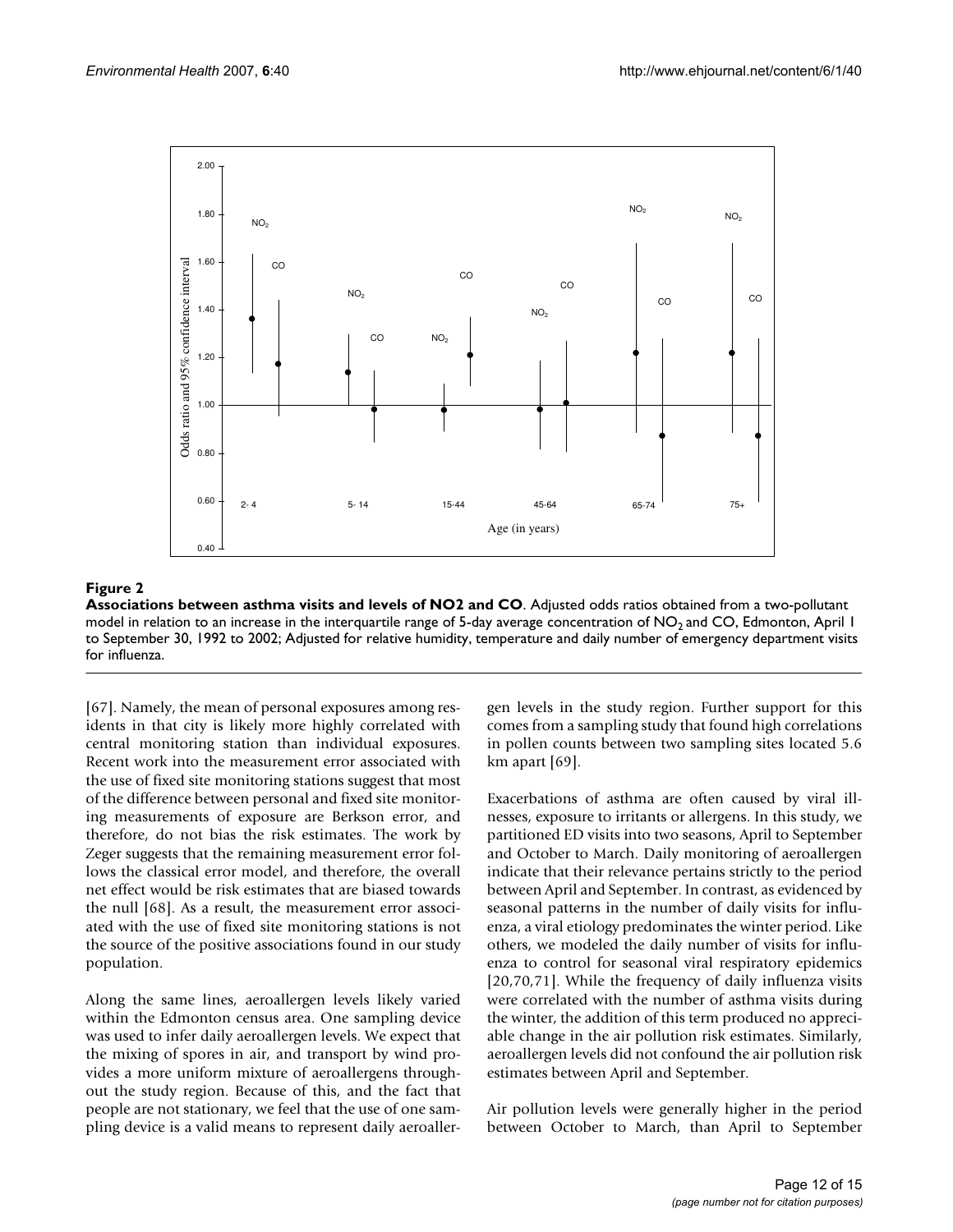

### **Figure 2**

**Associations between asthma visits and levels of NO2 and CO**. Adjusted odds ratios obtained from a two-pollutant model in relation to an increase in the interquartile range of 5-day average concentration of  $NO<sub>2</sub>$  and CO, Edmonton, April 1 to September 30, 1992 to 2002; Adjusted for relative humidity, temperature and daily number of emergency department visits for influenza.

[67]. Namely, the mean of personal exposures among residents in that city is likely more highly correlated with central monitoring station than individual exposures. Recent work into the measurement error associated with the use of fixed site monitoring stations suggest that most of the difference between personal and fixed site monitoring measurements of exposure are Berkson error, and therefore, do not bias the risk estimates. The work by Zeger suggests that the remaining measurement error follows the classical error model, and therefore, the overall net effect would be risk estimates that are biased towards the null [68]. As a result, the measurement error associated with the use of fixed site monitoring stations is not the source of the positive associations found in our study population.

Along the same lines, aeroallergen levels likely varied within the Edmonton census area. One sampling device was used to infer daily aeroallergen levels. We expect that the mixing of spores in air, and transport by wind provides a more uniform mixture of aeroallergens throughout the study region. Because of this, and the fact that people are not stationary, we feel that the use of one sampling device is a valid means to represent daily aeroallergen levels in the study region. Further support for this comes from a sampling study that found high correlations in pollen counts between two sampling sites located 5.6 km apart [69].

Exacerbations of asthma are often caused by viral illnesses, exposure to irritants or allergens. In this study, we partitioned ED visits into two seasons, April to September and October to March. Daily monitoring of aeroallergen indicate that their relevance pertains strictly to the period between April and September. In contrast, as evidenced by seasonal patterns in the number of daily visits for influenza, a viral etiology predominates the winter period. Like others, we modeled the daily number of visits for influenza to control for seasonal viral respiratory epidemics [20,70,71]. While the frequency of daily influenza visits were correlated with the number of asthma visits during the winter, the addition of this term produced no appreciable change in the air pollution risk estimates. Similarly, aeroallergen levels did not confound the air pollution risk estimates between April and September.

Air pollution levels were generally higher in the period between October to March, than April to September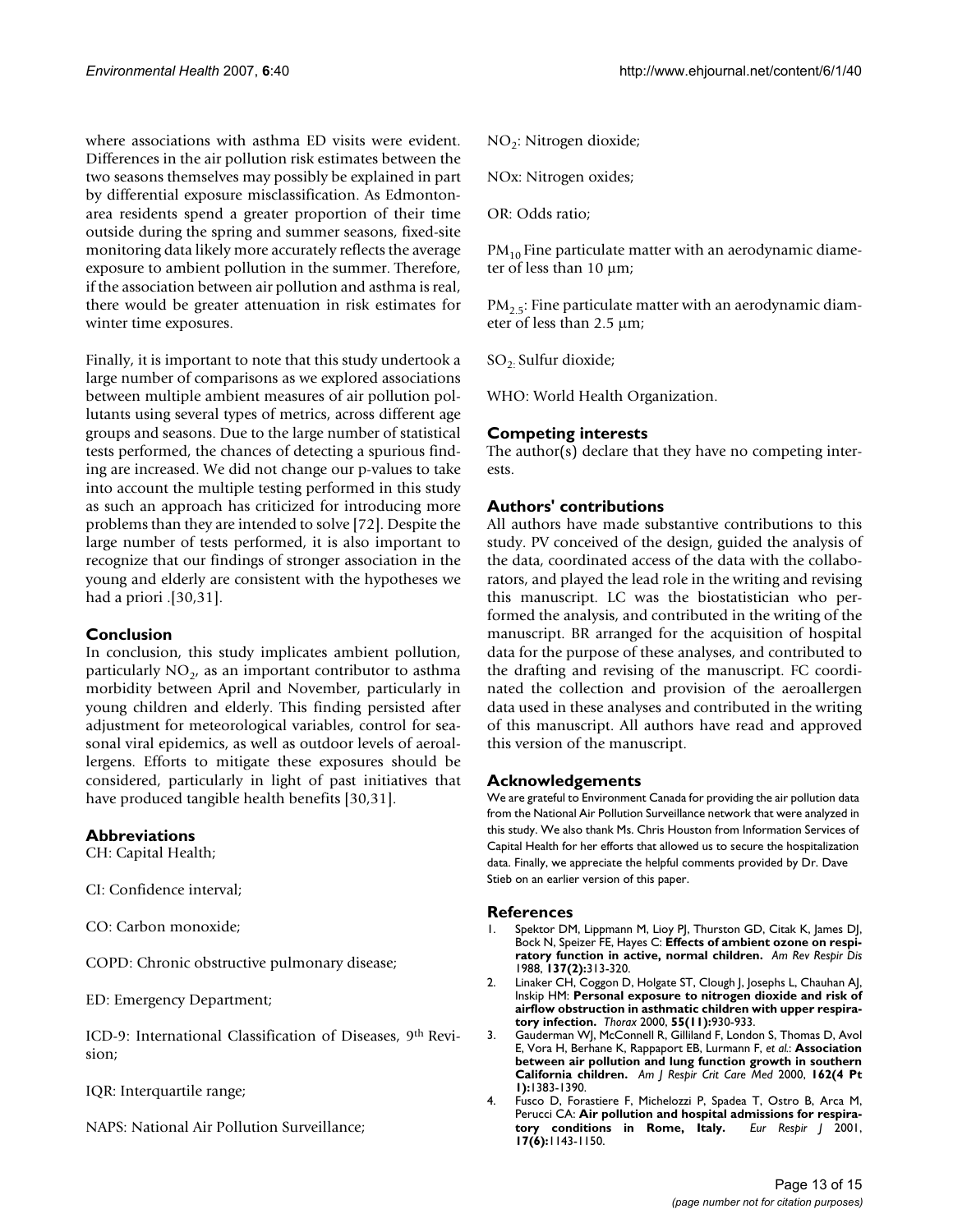where associations with asthma ED visits were evident. Differences in the air pollution risk estimates between the two seasons themselves may possibly be explained in part by differential exposure misclassification. As Edmontonarea residents spend a greater proportion of their time outside during the spring and summer seasons, fixed-site monitoring data likely more accurately reflects the average exposure to ambient pollution in the summer. Therefore, if the association between air pollution and asthma is real, there would be greater attenuation in risk estimates for winter time exposures.

Finally, it is important to note that this study undertook a large number of comparisons as we explored associations between multiple ambient measures of air pollution pollutants using several types of metrics, across different age groups and seasons. Due to the large number of statistical tests performed, the chances of detecting a spurious finding are increased. We did not change our p-values to take into account the multiple testing performed in this study as such an approach has criticized for introducing more problems than they are intended to solve [72]. Despite the large number of tests performed, it is also important to recognize that our findings of stronger association in the young and elderly are consistent with the hypotheses we had a priori .[30,31].

# **Conclusion**

In conclusion, this study implicates ambient pollution, particularly  $NO<sub>2</sub>$ , as an important contributor to asthma morbidity between April and November, particularly in young children and elderly. This finding persisted after adjustment for meteorological variables, control for seasonal viral epidemics, as well as outdoor levels of aeroallergens. Efforts to mitigate these exposures should be considered, particularly in light of past initiatives that have produced tangible health benefits [30,31].

# **Abbreviations**

CH: Capital Health;

CI: Confidence interval;

CO: Carbon monoxide;

COPD: Chronic obstructive pulmonary disease;

ED: Emergency Department;

ICD-9: International Classification of Diseases, 9th Revision;

IQR: Interquartile range;

NAPS: National Air Pollution Surveillance;

 $NO<sub>2</sub>$ : Nitrogen dioxide;

NOx: Nitrogen oxides;

OR: Odds ratio;

 $PM_{10}$  Fine particulate matter with an aerodynamic diameter of less than 10  $\mu$ m;

 $PM_{2.5}$ : Fine particulate matter with an aerodynamic diameter of less than 2.5 µm;

 $SO<sub>2</sub>$ . Sulfur dioxide;

WHO: World Health Organization.

# **Competing interests**

The author(s) declare that they have no competing interests.

# **Authors' contributions**

All authors have made substantive contributions to this study. PV conceived of the design, guided the analysis of the data, coordinated access of the data with the collaborators, and played the lead role in the writing and revising this manuscript. LC was the biostatistician who performed the analysis, and contributed in the writing of the manuscript. BR arranged for the acquisition of hospital data for the purpose of these analyses, and contributed to the drafting and revising of the manuscript. FC coordinated the collection and provision of the aeroallergen data used in these analyses and contributed in the writing of this manuscript. All authors have read and approved this version of the manuscript.

# **Acknowledgements**

We are grateful to Environment Canada for providing the air pollution data from the National Air Pollution Surveillance network that were analyzed in this study. We also thank Ms. Chris Houston from Information Services of Capital Health for her efforts that allowed us to secure the hospitalization data. Finally, we appreciate the helpful comments provided by Dr. Dave Stieb on an earlier version of this paper.

### **References**

- 1. Spektor DM, Lippmann M, Lioy PJ, Thurston GD, Citak K, James DJ, Bock N, Speizer FE, Hayes C: **[Effects of ambient ozone on respi](http://www.ncbi.nlm.nih.gov/entrez/query.fcgi?cmd=Retrieve&db=PubMed&dopt=Abstract&list_uids=3341625)[ratory function in active, normal children.](http://www.ncbi.nlm.nih.gov/entrez/query.fcgi?cmd=Retrieve&db=PubMed&dopt=Abstract&list_uids=3341625)** *Am Rev Respir Dis* 1988, **137(2):**313-320.
- 2. Linaker CH, Coggon D, Holgate ST, Clough J, Josephs L, Chauhan AJ, Inskip HM: **[Personal exposure to nitrogen dioxide and risk of](http://www.ncbi.nlm.nih.gov/entrez/query.fcgi?cmd=Retrieve&db=PubMed&dopt=Abstract&list_uids=11050262) [airflow obstruction in asthmatic children with upper respira](http://www.ncbi.nlm.nih.gov/entrez/query.fcgi?cmd=Retrieve&db=PubMed&dopt=Abstract&list_uids=11050262)[tory infection.](http://www.ncbi.nlm.nih.gov/entrez/query.fcgi?cmd=Retrieve&db=PubMed&dopt=Abstract&list_uids=11050262)** *Thorax* 2000, **55(11):**930-933.

3. Gauderman WJ, McConnell R, Gilliland F, London S, Thomas D, Avol E, Vora H, Berhane K, Rappaport EB, Lurmann F, *et al.*: **[Association](http://www.ncbi.nlm.nih.gov/entrez/query.fcgi?cmd=Retrieve&db=PubMed&dopt=Abstract&list_uids=11029349) [between air pollution and lung function growth in southern](http://www.ncbi.nlm.nih.gov/entrez/query.fcgi?cmd=Retrieve&db=PubMed&dopt=Abstract&list_uids=11029349) [California children.](http://www.ncbi.nlm.nih.gov/entrez/query.fcgi?cmd=Retrieve&db=PubMed&dopt=Abstract&list_uids=11029349)** *Am J Respir Crit Care Med* 2000, **162(4 Pt 1):**1383-1390.

4. Fusco D, Forastiere F, Michelozzi P, Spadea T, Ostro B, Arca M, Perucci CA: **[Air pollution and hospital admissions for respira](http://www.ncbi.nlm.nih.gov/entrez/query.fcgi?cmd=Retrieve&db=PubMed&dopt=Abstract&list_uids=11491157)**[tory conditions in Rome, Italy.](http://www.ncbi.nlm.nih.gov/entrez/query.fcgi?cmd=Retrieve&db=PubMed&dopt=Abstract&list_uids=11491157) **17(6):**1143-1150.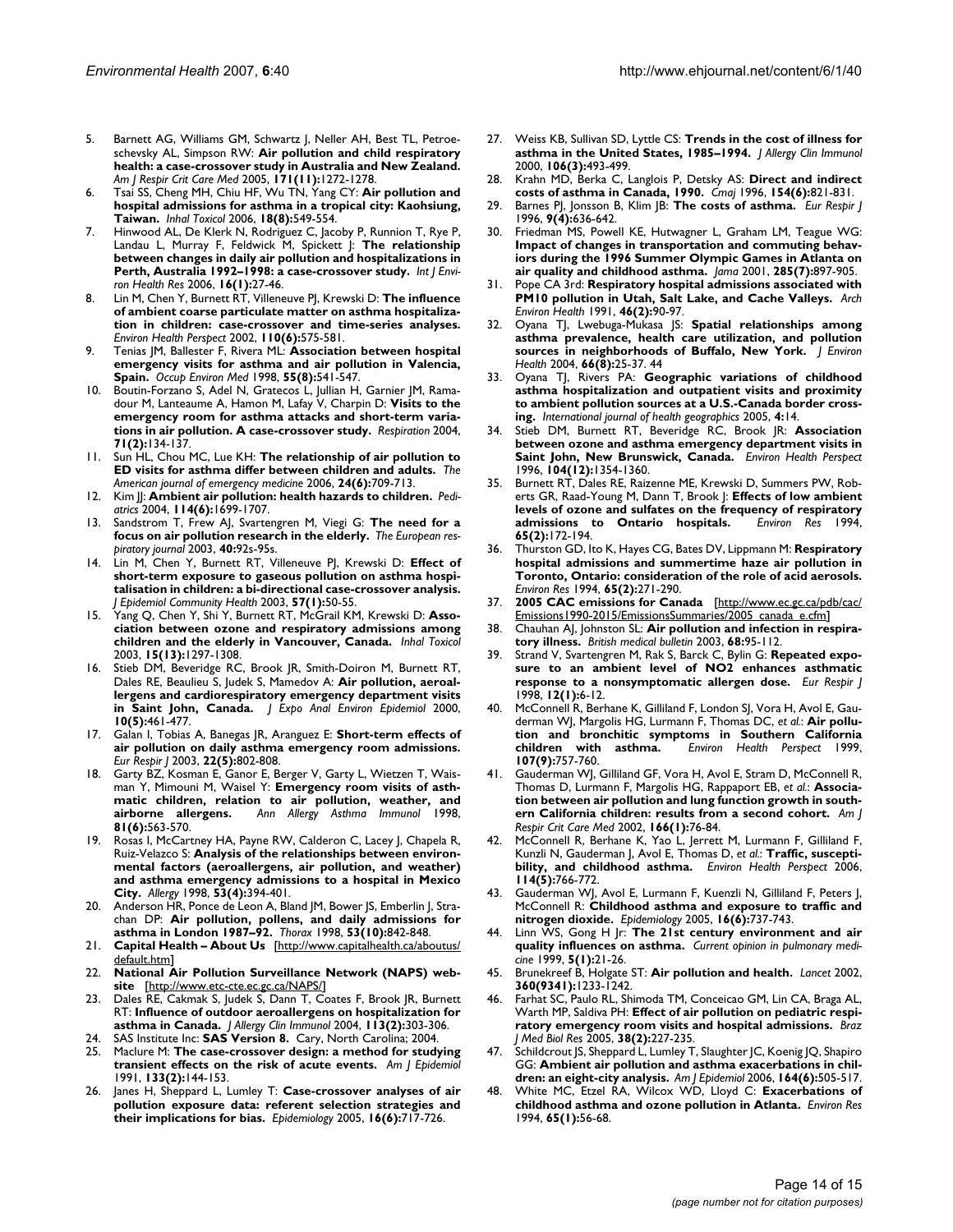- 5. Barnett AG, Williams GM, Schwartz J, Neller AH, Best TL, Petroeschevsky AL, Simpson RW: **[Air pollution and child respiratory](http://www.ncbi.nlm.nih.gov/entrez/query.fcgi?cmd=Retrieve&db=PubMed&dopt=Abstract&list_uids=15764722) [health: a case-crossover study in Australia and New Zealand.](http://www.ncbi.nlm.nih.gov/entrez/query.fcgi?cmd=Retrieve&db=PubMed&dopt=Abstract&list_uids=15764722)** *Am J Respir Crit Care Med* 2005, **171(11):**1272-1278.
- 6. Tsai SS, Cheng MH, Chiu HF, Wu TN, Yang CY: **[Air pollution and](http://www.ncbi.nlm.nih.gov/entrez/query.fcgi?cmd=Retrieve&db=PubMed&dopt=Abstract&list_uids=16717026) [hospital admissions for asthma in a tropical city: Kaohsiung,](http://www.ncbi.nlm.nih.gov/entrez/query.fcgi?cmd=Retrieve&db=PubMed&dopt=Abstract&list_uids=16717026) [Taiwan.](http://www.ncbi.nlm.nih.gov/entrez/query.fcgi?cmd=Retrieve&db=PubMed&dopt=Abstract&list_uids=16717026)** *Inhal Toxicol* 2006, **18(8):**549-554.
- 7. Hinwood AL, De Klerk N, Rodriguez C, Jacoby P, Runnion T, Rye P, Landau L, Murray F, Feldwick M, Spickett J: **[The relationship](http://www.ncbi.nlm.nih.gov/entrez/query.fcgi?cmd=Retrieve&db=PubMed&dopt=Abstract&list_uids=16507479) [between changes in daily air pollution and hospitalizations in](http://www.ncbi.nlm.nih.gov/entrez/query.fcgi?cmd=Retrieve&db=PubMed&dopt=Abstract&list_uids=16507479) [Perth, Australia 1992–1998: a case-crossover study.](http://www.ncbi.nlm.nih.gov/entrez/query.fcgi?cmd=Retrieve&db=PubMed&dopt=Abstract&list_uids=16507479)** *Int J Environ Health Res* 2006, **16(1):**27-46.
- 8. Lin M, Chen Y, Burnett RT, Villeneuve PJ, Krewski D: **[The influence](http://www.ncbi.nlm.nih.gov/entrez/query.fcgi?cmd=Retrieve&db=PubMed&dopt=Abstract&list_uids=12055048) of ambient coarse particulate matter on asthma hospitaliza[tion in children: case-crossover and time-series analyses.](http://www.ncbi.nlm.nih.gov/entrez/query.fcgi?cmd=Retrieve&db=PubMed&dopt=Abstract&list_uids=12055048)** *Environ Health Perspect* 2002, **110(6):**575-581.
- 9. Tenias JM, Ballester F, Rivera ML: **[Association between hospital](http://www.ncbi.nlm.nih.gov/entrez/query.fcgi?cmd=Retrieve&db=PubMed&dopt=Abstract&list_uids=9849541) [emergency visits for asthma and air pollution in Valencia,](http://www.ncbi.nlm.nih.gov/entrez/query.fcgi?cmd=Retrieve&db=PubMed&dopt=Abstract&list_uids=9849541) [Spain.](http://www.ncbi.nlm.nih.gov/entrez/query.fcgi?cmd=Retrieve&db=PubMed&dopt=Abstract&list_uids=9849541)** *Occup Environ Med* 1998, **55(8):**541-547.
- 10. Boutin-Forzano S, Adel N, Gratecos L, Jullian H, Garnier JM, Ramadour M, Lanteaume A, Hamon M, Lafay V, Charpin D: **[Visits to the](http://www.ncbi.nlm.nih.gov/entrez/query.fcgi?cmd=Retrieve&db=PubMed&dopt=Abstract&list_uids=15031567) [emergency room for asthma attacks and short-term varia](http://www.ncbi.nlm.nih.gov/entrez/query.fcgi?cmd=Retrieve&db=PubMed&dopt=Abstract&list_uids=15031567)[tions in air pollution. A case-crossover study.](http://www.ncbi.nlm.nih.gov/entrez/query.fcgi?cmd=Retrieve&db=PubMed&dopt=Abstract&list_uids=15031567)** *Respiration* 2004, **71(2):**134-137.
- 11. Sun HL, Chou MC, Lue KH: **[The relationship of air pollution to](http://www.ncbi.nlm.nih.gov/entrez/query.fcgi?cmd=Retrieve&db=PubMed&dopt=Abstract&list_uids=16984840) [ED visits for asthma differ between children and adults.](http://www.ncbi.nlm.nih.gov/entrez/query.fcgi?cmd=Retrieve&db=PubMed&dopt=Abstract&list_uids=16984840)** *The American journal of emergency medicine* 2006, **24(6):**709-713.
- 12. Kim J: **[Ambient air pollution: health hazards to children.](http://www.ncbi.nlm.nih.gov/entrez/query.fcgi?cmd=Retrieve&db=PubMed&dopt=Abstract&list_uids=15574638)** Pedi*atrics* 2004, **114(6):**1699-1707.
- 13. Sandstrom T, Frew AJ, Svartengren M, Viegi G: **[The need for a](http://www.ncbi.nlm.nih.gov/entrez/query.fcgi?cmd=Retrieve&db=PubMed&dopt=Abstract&list_uids=12762582) [focus on air pollution research in the elderly.](http://www.ncbi.nlm.nih.gov/entrez/query.fcgi?cmd=Retrieve&db=PubMed&dopt=Abstract&list_uids=12762582)** *The European respiratory journal* 2003, **40:**92s-95s.
- 14. Lin M, Chen Y, Burnett RT, Villeneuve PJ, Krewski D: **[Effect of](http://www.ncbi.nlm.nih.gov/entrez/query.fcgi?cmd=Retrieve&db=PubMed&dopt=Abstract&list_uids=12490649) short-term exposure to gaseous pollution on asthma hospi[talisation in children: a bi-directional case-crossover analysis.](http://www.ncbi.nlm.nih.gov/entrez/query.fcgi?cmd=Retrieve&db=PubMed&dopt=Abstract&list_uids=12490649)** *J Epidemiol Community Health* 2003, **57(1):**50-55.
- 15. Yang Q, Chen Y, Shi Y, Burnett RT, McGrail KM, Krewski D: **[Asso](http://www.ncbi.nlm.nih.gov/entrez/query.fcgi?cmd=Retrieve&db=PubMed&dopt=Abstract&list_uids=14569494)[ciation between ozone and respiratory admissions among](http://www.ncbi.nlm.nih.gov/entrez/query.fcgi?cmd=Retrieve&db=PubMed&dopt=Abstract&list_uids=14569494) [children and the elderly in Vancouver, Canada.](http://www.ncbi.nlm.nih.gov/entrez/query.fcgi?cmd=Retrieve&db=PubMed&dopt=Abstract&list_uids=14569494)** *Inhal Toxicol* 2003, **15(13):**1297-1308.
- 16. Stieb DM, Beveridge RC, Brook JR, Smith-Doiron M, Burnett RT, Dales RE, Beaulieu S, Judek S, Mamedov A: **[Air pollution, aeroal](http://www.ncbi.nlm.nih.gov/entrez/query.fcgi?cmd=Retrieve&db=PubMed&dopt=Abstract&list_uids=11051536)[lergens and cardiorespiratory emergency department visits](http://www.ncbi.nlm.nih.gov/entrez/query.fcgi?cmd=Retrieve&db=PubMed&dopt=Abstract&list_uids=11051536) [in Saint John, Canada.](http://www.ncbi.nlm.nih.gov/entrez/query.fcgi?cmd=Retrieve&db=PubMed&dopt=Abstract&list_uids=11051536)** *J Expo Anal Environ Epidemiol* 2000, **10(5):**461-477.
- 17. Galan I, Tobias A, Banegas JR, Aranguez E: **[Short-term effects of](http://www.ncbi.nlm.nih.gov/entrez/query.fcgi?cmd=Retrieve&db=PubMed&dopt=Abstract&list_uids=14621088) [air pollution on daily asthma emergency room admissions.](http://www.ncbi.nlm.nih.gov/entrez/query.fcgi?cmd=Retrieve&db=PubMed&dopt=Abstract&list_uids=14621088)** *Eur Respir J* 2003, **22(5):**802-808.
- 18. Garty BZ, Kosman E, Ganor E, Berger V, Garty L, Wietzen T, Waisman Y, Mimouni M, Waisel Y: **[Emergency room visits of asth](http://www.ncbi.nlm.nih.gov/entrez/query.fcgi?cmd=Retrieve&db=PubMed&dopt=Abstract&list_uids=9892028)[matic children, relation to air pollution, weather, and](http://www.ncbi.nlm.nih.gov/entrez/query.fcgi?cmd=Retrieve&db=PubMed&dopt=Abstract&list_uids=9892028) [airborne allergens.](http://www.ncbi.nlm.nih.gov/entrez/query.fcgi?cmd=Retrieve&db=PubMed&dopt=Abstract&list_uids=9892028)** *Ann Allergy Asthma Immunol* 1998, **airborne** allergens.<br>**81(6):**563-570.
- 19. Rosas I, McCartney HA, Payne RW, Calderon C, Lacey J, Chapela R, Ruiz-Velazco S: **[Analysis of the relationships between environ](http://www.ncbi.nlm.nih.gov/entrez/query.fcgi?cmd=Retrieve&db=PubMed&dopt=Abstract&list_uids=9574882)mental factors (aeroallergens, air pollution, and weather) [and asthma emergency admissions to a hospital in Mexico](http://www.ncbi.nlm.nih.gov/entrez/query.fcgi?cmd=Retrieve&db=PubMed&dopt=Abstract&list_uids=9574882) [City.](http://www.ncbi.nlm.nih.gov/entrez/query.fcgi?cmd=Retrieve&db=PubMed&dopt=Abstract&list_uids=9574882)** *Allergy* 1998, **53(4):**394-401.
- 20. Anderson HR, Ponce de Leon A, Bland JM, Bower JS, Emberlin J, Strachan DP: **[Air pollution, pollens, and daily admissions for](http://www.ncbi.nlm.nih.gov/entrez/query.fcgi?cmd=Retrieve&db=PubMed&dopt=Abstract&list_uids=10193370) [asthma in London 1987–92.](http://www.ncbi.nlm.nih.gov/entrez/query.fcgi?cmd=Retrieve&db=PubMed&dopt=Abstract&list_uids=10193370)** *Thorax* 1998, **53(10):**842-848.
- 21. **Capital Health About Us** [[http://www.capitalhealth.ca/aboutus/](http://www.capitalhealth.ca/aboutus/default.htm) [default.htm](http://www.capitalhealth.ca/aboutus/default.htm)]
- 22. **National Air Pollution Surveillance Network (NAPS) website** [<http://www.etc-cte.ec.gc.ca/NAPS/>]
- 23. Dales RE, Cakmak S, Judek S, Dann T, Coates F, Brook JR, Burnett RT: **[Influence of outdoor aeroallergens on hospitalization for](http://www.ncbi.nlm.nih.gov/entrez/query.fcgi?cmd=Retrieve&db=PubMed&dopt=Abstract&list_uids=14767446) [asthma in Canada.](http://www.ncbi.nlm.nih.gov/entrez/query.fcgi?cmd=Retrieve&db=PubMed&dopt=Abstract&list_uids=14767446)** *J Allergy Clin Immunol* 2004, **113(2):**303-306.
- 24. SAS Institute Inc: **SAS Version 8.** Cary, North Carolina; 2004.
- 25. Maclure M: **[The case-crossover design: a method for studying](http://www.ncbi.nlm.nih.gov/entrez/query.fcgi?cmd=Retrieve&db=PubMed&dopt=Abstract&list_uids=1985444) [transient effects on the risk of acute events.](http://www.ncbi.nlm.nih.gov/entrez/query.fcgi?cmd=Retrieve&db=PubMed&dopt=Abstract&list_uids=1985444)** *Am J Epidemiol* 1991, **133(2):**144-153.
- 26. Janes H, Sheppard L, Lumley T: **[Case-crossover analyses of air](http://www.ncbi.nlm.nih.gov/entrez/query.fcgi?cmd=Retrieve&db=PubMed&dopt=Abstract&list_uids=16222160) [pollution exposure data: referent selection strategies and](http://www.ncbi.nlm.nih.gov/entrez/query.fcgi?cmd=Retrieve&db=PubMed&dopt=Abstract&list_uids=16222160) [their implications for bias.](http://www.ncbi.nlm.nih.gov/entrez/query.fcgi?cmd=Retrieve&db=PubMed&dopt=Abstract&list_uids=16222160)** *Epidemiology* 2005, **16(6):**717-726.
- 27. Weiss KB, Sullivan SD, Lyttle CS: **[Trends in the cost of illness for](http://www.ncbi.nlm.nih.gov/entrez/query.fcgi?cmd=Retrieve&db=PubMed&dopt=Abstract&list_uids=10984369) [asthma in the United States, 1985–1994.](http://www.ncbi.nlm.nih.gov/entrez/query.fcgi?cmd=Retrieve&db=PubMed&dopt=Abstract&list_uids=10984369)** *J Allergy Clin Immunol* 2000, **106(3):**493-499.
- 28. Krahn MD, Berka C, Langlois P, Detsky AS: **[Direct and indirect](http://www.ncbi.nlm.nih.gov/entrez/query.fcgi?cmd=Retrieve&db=PubMed&dopt=Abstract&list_uids=8634960) [costs of asthma in Canada, 1990.](http://www.ncbi.nlm.nih.gov/entrez/query.fcgi?cmd=Retrieve&db=PubMed&dopt=Abstract&list_uids=8634960)** *Cmaj* 1996, **154(6):**821-831.
- 29. Barnes PJ, Jonsson B, Klim JB: **[The costs of asthma.](http://www.ncbi.nlm.nih.gov/entrez/query.fcgi?cmd=Retrieve&db=PubMed&dopt=Abstract&list_uids=8726924)** *Eur Respir J* 1996, **9(4):**636-642.
- 30. Friedman MS, Powell KE, Hutwagner L, Graham LM, Teague WG: **Impact of changes in transportation and commuting behav[iors during the 1996 Summer Olympic Games in Atlanta on](http://www.ncbi.nlm.nih.gov/entrez/query.fcgi?cmd=Retrieve&db=PubMed&dopt=Abstract&list_uids=11180733) [air quality and childhood asthma.](http://www.ncbi.nlm.nih.gov/entrez/query.fcgi?cmd=Retrieve&db=PubMed&dopt=Abstract&list_uids=11180733)** *Jama* 2001, **285(7):**897-905.
- 31. Pope CA 3rd: **[Respiratory hospital admissions associated with](http://www.ncbi.nlm.nih.gov/entrez/query.fcgi?cmd=Retrieve&db=PubMed&dopt=Abstract&list_uids=2006899) [PM10 pollution in Utah, Salt Lake, and Cache Valleys.](http://www.ncbi.nlm.nih.gov/entrez/query.fcgi?cmd=Retrieve&db=PubMed&dopt=Abstract&list_uids=2006899)** *Arch Environ Health* 1991, **46(2):**90-97.
- 32. Oyana TJ, Lwebuga-Mukasa JS: **[Spatial relationships among](http://www.ncbi.nlm.nih.gov/entrez/query.fcgi?cmd=Retrieve&db=PubMed&dopt=Abstract&list_uids=15106580) [asthma prevalence, health care utilization, and pollution](http://www.ncbi.nlm.nih.gov/entrez/query.fcgi?cmd=Retrieve&db=PubMed&dopt=Abstract&list_uids=15106580) [sources in neighborhoods of Buffalo, New York.](http://www.ncbi.nlm.nih.gov/entrez/query.fcgi?cmd=Retrieve&db=PubMed&dopt=Abstract&list_uids=15106580)** *J Environ Health* 2004, **66(8):**25-37. 44
- 33. Oyana TJ, Rivers PA: **[Geographic variations of childhood](http://www.ncbi.nlm.nih.gov/entrez/query.fcgi?cmd=Retrieve&db=PubMed&dopt=Abstract&list_uids=15943870) asthma hospitalization and outpatient visits and proximity [to ambient pollution sources at a U.S.-Canada border cross](http://www.ncbi.nlm.nih.gov/entrez/query.fcgi?cmd=Retrieve&db=PubMed&dopt=Abstract&list_uids=15943870)[ing.](http://www.ncbi.nlm.nih.gov/entrez/query.fcgi?cmd=Retrieve&db=PubMed&dopt=Abstract&list_uids=15943870)** *International journal of health geographics* 2005, **4:**14.
- 34. Stieb DM, Burnett RT, Beveridge RC, Brook JR: **[Association](http://www.ncbi.nlm.nih.gov/entrez/query.fcgi?cmd=Retrieve&db=PubMed&dopt=Abstract&list_uids=9118879) [between ozone and asthma emergency department visits in](http://www.ncbi.nlm.nih.gov/entrez/query.fcgi?cmd=Retrieve&db=PubMed&dopt=Abstract&list_uids=9118879) [Saint John, New Brunswick, Canada.](http://www.ncbi.nlm.nih.gov/entrez/query.fcgi?cmd=Retrieve&db=PubMed&dopt=Abstract&list_uids=9118879)** *Environ Health Perspect* 1996, **104(12):**1354-1360.
- 35. Burnett RT, Dales RE, Raizenne ME, Krewski D, Summers PW, Roberts GR, Raad-Young M, Dann T, Brook J: **[Effects of low ambient](http://www.ncbi.nlm.nih.gov/entrez/query.fcgi?cmd=Retrieve&db=PubMed&dopt=Abstract&list_uids=8187735) [levels of ozone and sulfates on the frequency of respiratory](http://www.ncbi.nlm.nih.gov/entrez/query.fcgi?cmd=Retrieve&db=PubMed&dopt=Abstract&list_uids=8187735) [admissions to Ontario hospitals.](http://www.ncbi.nlm.nih.gov/entrez/query.fcgi?cmd=Retrieve&db=PubMed&dopt=Abstract&list_uids=8187735)** *Environ Res* 1994, **65(2):**172-194.
- 36. Thurston GD, Ito K, Hayes CG, Bates DV, Lippmann M: **[Respiratory](http://www.ncbi.nlm.nih.gov/entrez/query.fcgi?cmd=Retrieve&db=PubMed&dopt=Abstract&list_uids=8187742) hospital admissions and summertime haze air pollution in [Toronto, Ontario: consideration of the role of acid aerosols.](http://www.ncbi.nlm.nih.gov/entrez/query.fcgi?cmd=Retrieve&db=PubMed&dopt=Abstract&list_uids=8187742)** *Environ Res* 1994, **65(2):**271-290.
- 37. **2005 CAC emissions for Canada** [[http://www.ec.gc.ca/pdb/cac/](http://www.ec.gc.ca/pdb/cac/Emissions1990-2015/EmissionsSummaries/2005_canada_e.cfm) Emissions 1990-2015/EmissionsSummaries/2005\_canada\_e.cfm]
- 38. Chauhan AJ, Johnston SL: **[Air pollution and infection in respira](http://www.ncbi.nlm.nih.gov/entrez/query.fcgi?cmd=Retrieve&db=PubMed&dopt=Abstract&list_uids=14757711)[tory illness.](http://www.ncbi.nlm.nih.gov/entrez/query.fcgi?cmd=Retrieve&db=PubMed&dopt=Abstract&list_uids=14757711)** *British medical bulletin* 2003, **68:**95-112.
- 39. Strand V, Svartengren M, Rak S, Barck C, Bylin G: **[Repeated expo](http://www.ncbi.nlm.nih.gov/entrez/query.fcgi?cmd=Retrieve&db=PubMed&dopt=Abstract&list_uids=9701406)[sure to an ambient level of NO2 enhances asthmatic](http://www.ncbi.nlm.nih.gov/entrez/query.fcgi?cmd=Retrieve&db=PubMed&dopt=Abstract&list_uids=9701406) [response to a nonsymptomatic allergen dose.](http://www.ncbi.nlm.nih.gov/entrez/query.fcgi?cmd=Retrieve&db=PubMed&dopt=Abstract&list_uids=9701406)** *Eur Respir J* 1998, **12(1):**6-12.
- 40. McConnell R, Berhane K, Gilliland F, London SJ, Vora H, Avol E, Gauderman WJ, Margolis HG, Lurmann F, Thomas DC, *et al.*: **[Air pollu](http://www.ncbi.nlm.nih.gov/entrez/query.fcgi?cmd=Retrieve&db=PubMed&dopt=Abstract&list_uids=10464077)[tion and bronchitic symptoms in Southern California](http://www.ncbi.nlm.nih.gov/entrez/query.fcgi?cmd=Retrieve&db=PubMed&dopt=Abstract&list_uids=10464077) [children with asthma.](http://www.ncbi.nlm.nih.gov/entrez/query.fcgi?cmd=Retrieve&db=PubMed&dopt=Abstract&list_uids=10464077)** *Environ Health Perspect* 1999, **107(9):**757-760.
- 41. Gauderman WJ, Gilliland GF, Vora H, Avol E, Stram D, McConnell R, Thomas D, Lurmann F, Margolis HG, Rappaport EB, *et al.*: **[Associa](http://www.ncbi.nlm.nih.gov/entrez/query.fcgi?cmd=Retrieve&db=PubMed&dopt=Abstract&list_uids=12091175)[tion between air pollution and lung function growth in south](http://www.ncbi.nlm.nih.gov/entrez/query.fcgi?cmd=Retrieve&db=PubMed&dopt=Abstract&list_uids=12091175)[ern California children: results from a second cohort.](http://www.ncbi.nlm.nih.gov/entrez/query.fcgi?cmd=Retrieve&db=PubMed&dopt=Abstract&list_uids=12091175)** *Am J Respir Crit Care Med* 2002, **166(1):**76-84.
- 42. McConnell R, Berhane K, Yao L, Jerrett M, Lurmann F, Gilliland F, Kunzli N, Gauderman J, Avol E, Thomas D, *et al.*: **[Traffic, suscepti](http://www.ncbi.nlm.nih.gov/entrez/query.fcgi?cmd=Retrieve&db=PubMed&dopt=Abstract&list_uids=16675435)[bility, and childhood asthma.](http://www.ncbi.nlm.nih.gov/entrez/query.fcgi?cmd=Retrieve&db=PubMed&dopt=Abstract&list_uids=16675435)** *Environ Health Perspect* 2006, **114(5):**766-772.
- 43. Gauderman WJ, Avol E, Lurmann F, Kuenzli N, Gilliland F, Peters J, McConnell R: **[Childhood asthma and exposure to traffic and](http://www.ncbi.nlm.nih.gov/entrez/query.fcgi?cmd=Retrieve&db=PubMed&dopt=Abstract&list_uids=16222162) [nitrogen dioxide.](http://www.ncbi.nlm.nih.gov/entrez/query.fcgi?cmd=Retrieve&db=PubMed&dopt=Abstract&list_uids=16222162)** *Epidemiology* 2005, **16(6):**737-743.
- 44. Linn WS, Gong H Jr: **[The 21st century environment and air](http://www.ncbi.nlm.nih.gov/entrez/query.fcgi?cmd=Retrieve&db=PubMed&dopt=Abstract&list_uids=10813245) [quality influences on asthma.](http://www.ncbi.nlm.nih.gov/entrez/query.fcgi?cmd=Retrieve&db=PubMed&dopt=Abstract&list_uids=10813245)** *Current opinion in pulmonary medicine* 1999, **5(1):**21-26.
- 45. Brunekreef B, Holgate ST: **[Air pollution and health.](http://www.ncbi.nlm.nih.gov/entrez/query.fcgi?cmd=Retrieve&db=PubMed&dopt=Abstract&list_uids=12401268)** *Lancet* 2002, **360(9341):**1233-1242.
- 46. Farhat SC, Paulo RL, Shimoda TM, Conceicao GM, Lin CA, Braga AL, Warth MP, Saldiva PH: **[Effect of air pollution on pediatric respi](http://www.ncbi.nlm.nih.gov/entrez/query.fcgi?cmd=Retrieve&db=PubMed&dopt=Abstract&list_uids=15785834)[ratory emergency room visits and hospital admissions.](http://www.ncbi.nlm.nih.gov/entrez/query.fcgi?cmd=Retrieve&db=PubMed&dopt=Abstract&list_uids=15785834)** *Braz J Med Biol Res* 2005, **38(2):**227-235.
- 47. Schildcrout JS, Sheppard L, Lumley T, Slaughter JC, Koenig JQ, Shapiro GG: **[Ambient air pollution and asthma exacerbations in chil](http://www.ncbi.nlm.nih.gov/entrez/query.fcgi?cmd=Retrieve&db=PubMed&dopt=Abstract&list_uids=16798793)[dren: an eight-city analysis.](http://www.ncbi.nlm.nih.gov/entrez/query.fcgi?cmd=Retrieve&db=PubMed&dopt=Abstract&list_uids=16798793)** *Am J Epidemiol* 2006, **164(6):**505-517.
- 48. White MC, Etzel RA, Wilcox WD, Lloyd C: **[Exacerbations of](http://www.ncbi.nlm.nih.gov/entrez/query.fcgi?cmd=Retrieve&db=PubMed&dopt=Abstract&list_uids=8162885) [childhood asthma and ozone pollution in Atlanta.](http://www.ncbi.nlm.nih.gov/entrez/query.fcgi?cmd=Retrieve&db=PubMed&dopt=Abstract&list_uids=8162885)** *Environ Res* 1994, **65(1):**56-68.